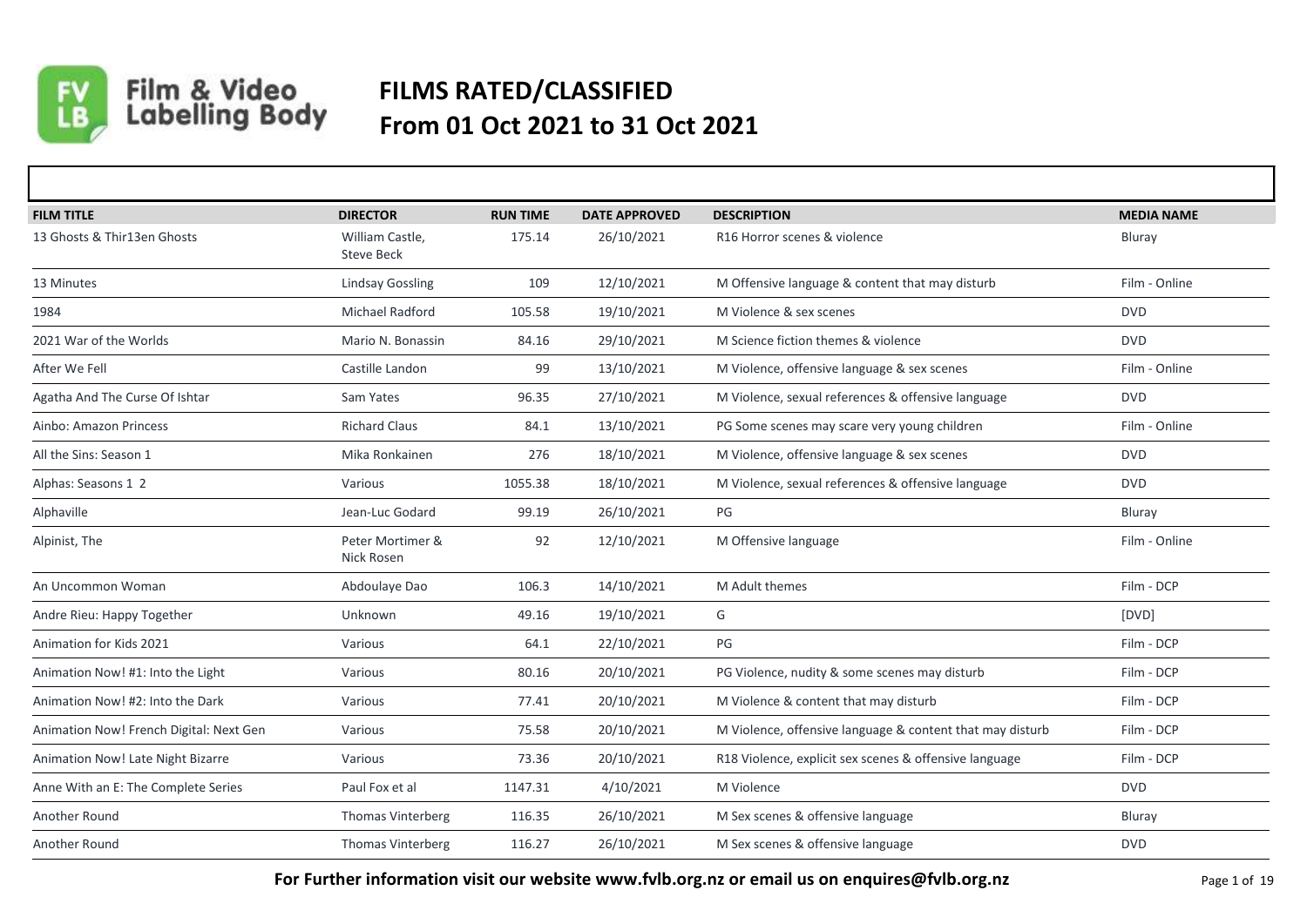

## Film & Video<br>Labelling Body **FILMS RATED/CLASSIFIED From 01 Oct 2021 to 31 Oct 2021**

| <b>FILM TITLE</b>                       | <b>DIRECTOR</b>                      | <b>RUN TIME</b> | <b>DATE APPROVED</b> | <b>DESCRIPTION</b>                                        | <b>MEDIA NAME</b> |
|-----------------------------------------|--------------------------------------|-----------------|----------------------|-----------------------------------------------------------|-------------------|
| 13 Ghosts & Thir13en Ghosts             | William Castle,<br><b>Steve Beck</b> | 175.14          | 26/10/2021           | R16 Horror scenes & violence                              | Bluray            |
| 13 Minutes                              | <b>Lindsay Gossling</b>              | 109             | 12/10/2021           | M Offensive language & content that may disturb           | Film - Online     |
| 1984                                    | Michael Radford                      | 105.58          | 19/10/2021           | M Violence & sex scenes                                   | <b>DVD</b>        |
| 2021 War of the Worlds                  | Mario N. Bonassin                    | 84.16           | 29/10/2021           | M Science fiction themes & violence                       | <b>DVD</b>        |
| After We Fell                           | Castille Landon                      | 99              | 13/10/2021           | M Violence, offensive language & sex scenes               | Film - Online     |
| Agatha And The Curse Of Ishtar          | Sam Yates                            | 96.35           | 27/10/2021           | M Violence, sexual references & offensive language        | <b>DVD</b>        |
| Ainbo: Amazon Princess                  | <b>Richard Claus</b>                 | 84.1            | 13/10/2021           | PG Some scenes may scare very young children              | Film - Online     |
| All the Sins: Season 1                  | Mika Ronkainen                       | 276             | 18/10/2021           | M Violence, offensive language & sex scenes               | <b>DVD</b>        |
| Alphas: Seasons 1 2                     | Various                              | 1055.38         | 18/10/2021           | M Violence, sexual references & offensive language        | <b>DVD</b>        |
| Alphaville                              | Jean-Luc Godard                      | 99.19           | 26/10/2021           | PG                                                        | Bluray            |
| Alpinist, The                           | Peter Mortimer &<br>Nick Rosen       | 92              | 12/10/2021           | M Offensive language                                      | Film - Online     |
| An Uncommon Woman                       | Abdoulaye Dao                        | 106.3           | 14/10/2021           | M Adult themes                                            | Film - DCP        |
| Andre Rieu: Happy Together              | Unknown                              | 49.16           | 19/10/2021           | G                                                         | [DVD]             |
| Animation for Kids 2021                 | Various                              | 64.1            | 22/10/2021           | PG                                                        | Film - DCP        |
| Animation Now! #1: Into the Light       | Various                              | 80.16           | 20/10/2021           | PG Violence, nudity & some scenes may disturb             | Film - DCP        |
| Animation Now! #2: Into the Dark        | Various                              | 77.41           | 20/10/2021           | M Violence & content that may disturb                     | Film - DCP        |
| Animation Now! French Digital: Next Gen | Various                              | 75.58           | 20/10/2021           | M Violence, offensive language & content that may disturb | Film - DCP        |
| Animation Now! Late Night Bizarre       | Various                              | 73.36           | 20/10/2021           | R18 Violence, explicit sex scenes & offensive language    | Film - DCP        |
| Anne With an E: The Complete Series     | Paul Fox et al                       | 1147.31         | 4/10/2021            | M Violence                                                | <b>DVD</b>        |
| Another Round                           | Thomas Vinterberg                    | 116.35          | 26/10/2021           | M Sex scenes & offensive language                         | Bluray            |
| Another Round                           | Thomas Vinterberg                    | 116.27          | 26/10/2021           | M Sex scenes & offensive language                         | <b>DVD</b>        |

**For Further information visit our website www.fvlb.org.nz or email us on enquires@fvlb.org.nz** Page 1 of 19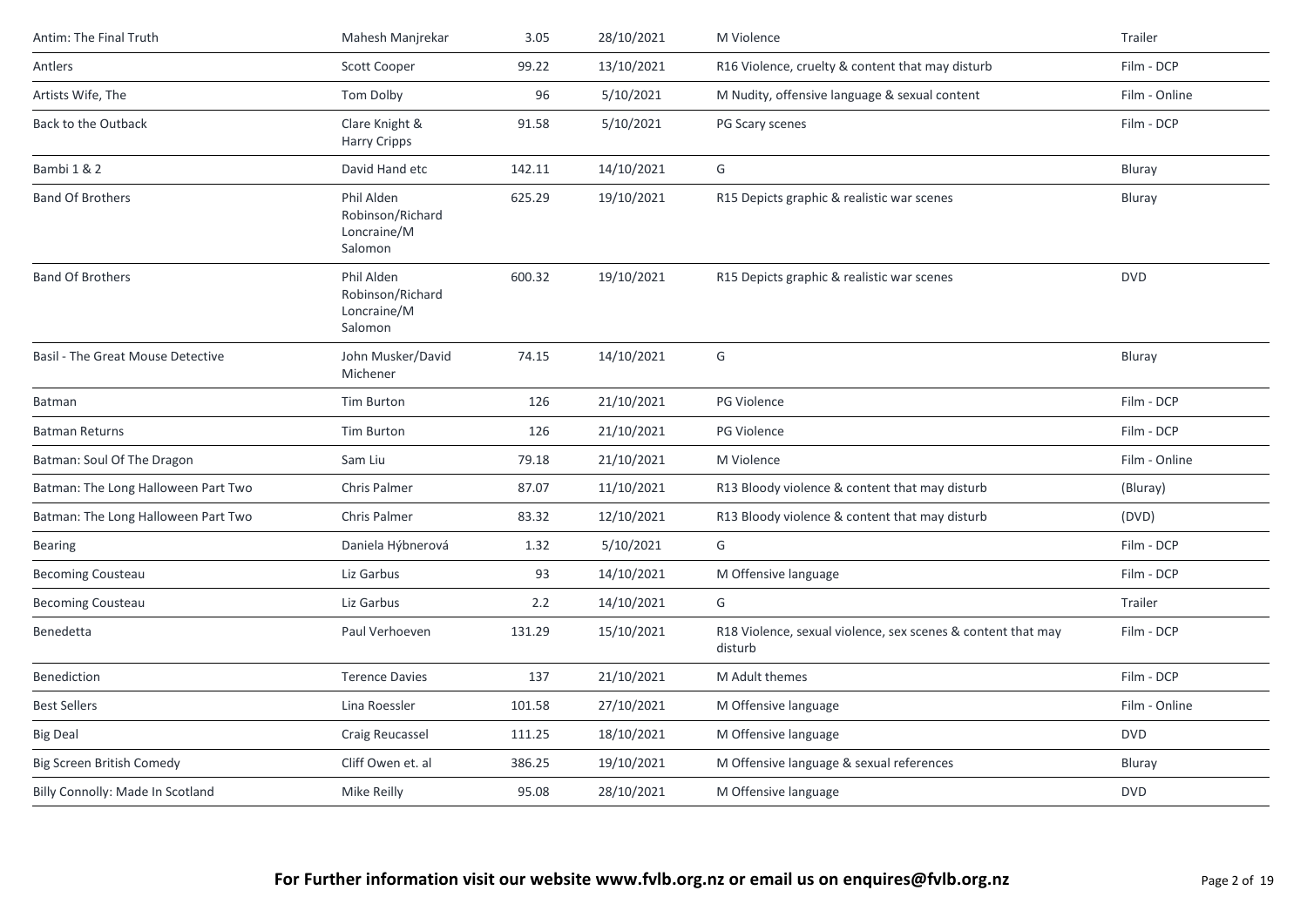| Antim: The Final Truth              | Mahesh Manjrekar                                         | 3.05   | 28/10/2021 | M Violence                                                              | Trailer       |
|-------------------------------------|----------------------------------------------------------|--------|------------|-------------------------------------------------------------------------|---------------|
| Antlers                             | <b>Scott Cooper</b>                                      | 99.22  | 13/10/2021 | R16 Violence, cruelty & content that may disturb                        | Film - DCP    |
| Artists Wife, The                   | Tom Dolby                                                | 96     | 5/10/2021  | M Nudity, offensive language & sexual content                           | Film - Online |
| Back to the Outback                 | Clare Knight &<br><b>Harry Cripps</b>                    | 91.58  | 5/10/2021  | PG Scary scenes                                                         | Film - DCP    |
| Bambi 1 & 2                         | David Hand etc                                           | 142.11 | 14/10/2021 | G                                                                       | Bluray        |
| <b>Band Of Brothers</b>             | Phil Alden<br>Robinson/Richard<br>Loncraine/M<br>Salomon | 625.29 | 19/10/2021 | R15 Depicts graphic & realistic war scenes                              | Bluray        |
| <b>Band Of Brothers</b>             | Phil Alden<br>Robinson/Richard<br>Loncraine/M<br>Salomon | 600.32 | 19/10/2021 | R15 Depicts graphic & realistic war scenes                              | <b>DVD</b>    |
| Basil - The Great Mouse Detective   | John Musker/David<br>Michener                            | 74.15  | 14/10/2021 | G                                                                       | Bluray        |
| Batman                              | <b>Tim Burton</b>                                        | 126    | 21/10/2021 | <b>PG Violence</b>                                                      | Film - DCP    |
| <b>Batman Returns</b>               | Tim Burton                                               | 126    | 21/10/2021 | PG Violence                                                             | Film - DCP    |
| Batman: Soul Of The Dragon          | Sam Liu                                                  | 79.18  | 21/10/2021 | M Violence                                                              | Film - Online |
| Batman: The Long Halloween Part Two | <b>Chris Palmer</b>                                      | 87.07  | 11/10/2021 | R13 Bloody violence & content that may disturb                          | (Bluray)      |
| Batman: The Long Halloween Part Two | <b>Chris Palmer</b>                                      | 83.32  | 12/10/2021 | R13 Bloody violence & content that may disturb                          | (DVD)         |
| <b>Bearing</b>                      | Daniela Hýbnerová                                        | 1.32   | 5/10/2021  | G                                                                       | Film - DCP    |
| <b>Becoming Cousteau</b>            | Liz Garbus                                               | 93     | 14/10/2021 | M Offensive language                                                    | Film - DCP    |
| <b>Becoming Cousteau</b>            | Liz Garbus                                               | 2.2    | 14/10/2021 | G                                                                       | Trailer       |
| Benedetta                           | Paul Verhoeven                                           | 131.29 | 15/10/2021 | R18 Violence, sexual violence, sex scenes & content that may<br>disturb | Film - DCP    |
| Benediction                         | <b>Terence Davies</b>                                    | 137    | 21/10/2021 | M Adult themes                                                          | Film - DCP    |
| <b>Best Sellers</b>                 | Lina Roessler                                            | 101.58 | 27/10/2021 | M Offensive language                                                    | Film - Online |
| <b>Big Deal</b>                     | Craig Reucassel                                          | 111.25 | 18/10/2021 | M Offensive language                                                    | <b>DVD</b>    |
| <b>Big Screen British Comedy</b>    | Cliff Owen et. al                                        | 386.25 | 19/10/2021 | M Offensive language & sexual references                                | Bluray        |
| Billy Connolly: Made In Scotland    | Mike Reilly                                              | 95.08  | 28/10/2021 | M Offensive language                                                    | <b>DVD</b>    |
|                                     |                                                          |        |            |                                                                         |               |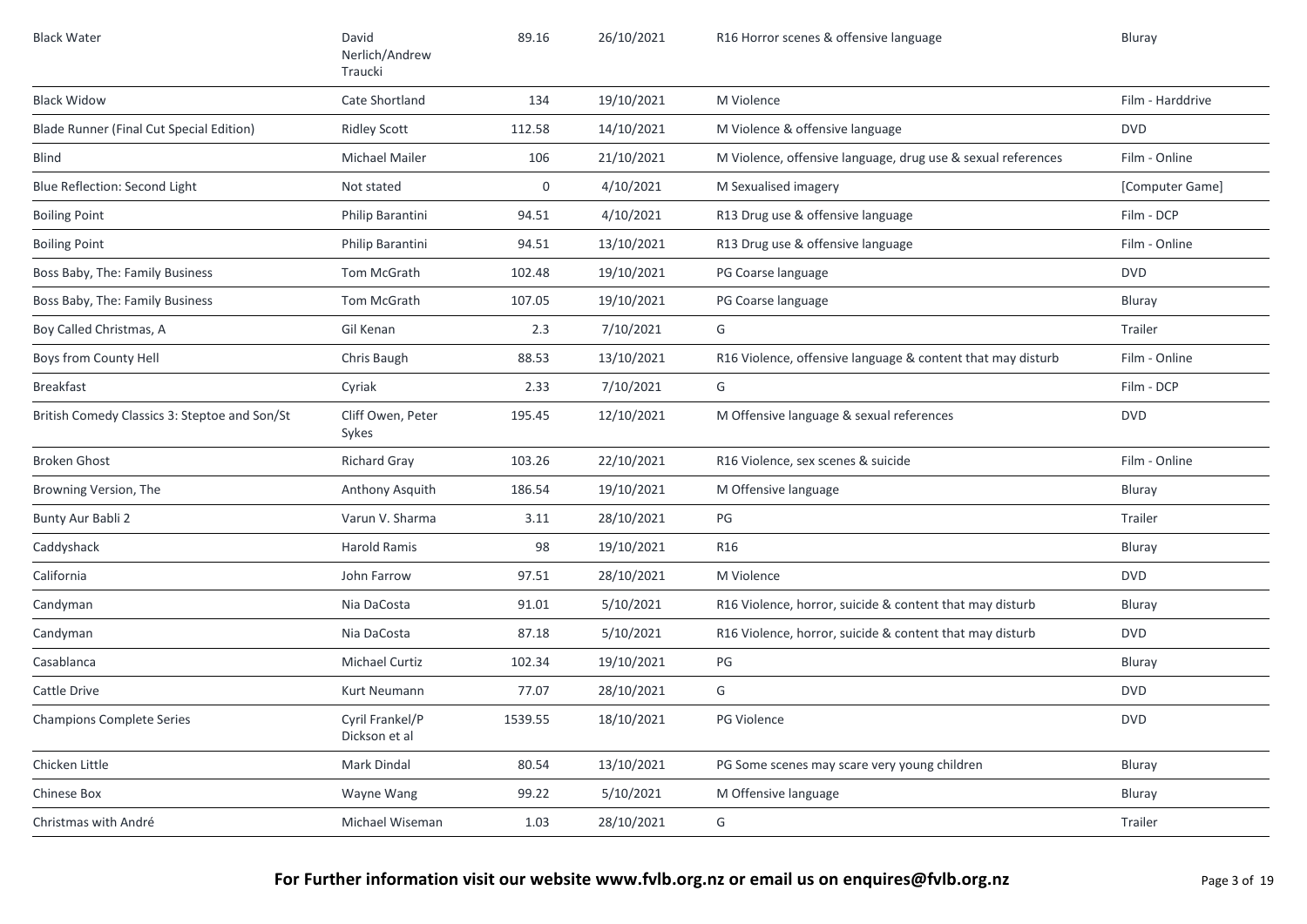| <b>Black Water</b>                            | David<br>Nerlich/Andrew<br>Traucki | 89.16       | 26/10/2021 | R16 Horror scenes & offensive language                       | Bluray           |
|-----------------------------------------------|------------------------------------|-------------|------------|--------------------------------------------------------------|------------------|
| <b>Black Widow</b>                            | Cate Shortland                     | 134         | 19/10/2021 | M Violence                                                   | Film - Harddrive |
| Blade Runner (Final Cut Special Edition)      | <b>Ridley Scott</b>                | 112.58      | 14/10/2021 | M Violence & offensive language                              | <b>DVD</b>       |
| <b>Blind</b>                                  | Michael Mailer                     | 106         | 21/10/2021 | M Violence, offensive language, drug use & sexual references | Film - Online    |
| Blue Reflection: Second Light                 | Not stated                         | $\mathbf 0$ | 4/10/2021  | M Sexualised imagery                                         | [Computer Game]  |
| <b>Boiling Point</b>                          | Philip Barantini                   | 94.51       | 4/10/2021  | R13 Drug use & offensive language                            | Film - DCP       |
| <b>Boiling Point</b>                          | Philip Barantini                   | 94.51       | 13/10/2021 | R13 Drug use & offensive language                            | Film - Online    |
| Boss Baby, The: Family Business               | Tom McGrath                        | 102.48      | 19/10/2021 | PG Coarse language                                           | <b>DVD</b>       |
| Boss Baby, The: Family Business               | Tom McGrath                        | 107.05      | 19/10/2021 | PG Coarse language                                           | Bluray           |
| Boy Called Christmas, A                       | Gil Kenan                          | 2.3         | 7/10/2021  | G                                                            | Trailer          |
| Boys from County Hell                         | Chris Baugh                        | 88.53       | 13/10/2021 | R16 Violence, offensive language & content that may disturb  | Film - Online    |
| <b>Breakfast</b>                              | Cyriak                             | 2.33        | 7/10/2021  | G                                                            | Film - DCP       |
| British Comedy Classics 3: Steptoe and Son/St | Cliff Owen, Peter<br>Sykes         | 195.45      | 12/10/2021 | M Offensive language & sexual references                     | <b>DVD</b>       |
| <b>Broken Ghost</b>                           | <b>Richard Gray</b>                | 103.26      | 22/10/2021 | R16 Violence, sex scenes & suicide                           | Film - Online    |
| Browning Version, The                         | Anthony Asquith                    | 186.54      | 19/10/2021 | M Offensive language                                         | Bluray           |
| Bunty Aur Babli 2                             | Varun V. Sharma                    | 3.11        | 28/10/2021 | PG                                                           | Trailer          |
| Caddyshack                                    | <b>Harold Ramis</b>                | 98          | 19/10/2021 | R <sub>16</sub>                                              | Bluray           |
| California                                    | John Farrow                        | 97.51       | 28/10/2021 | M Violence                                                   | <b>DVD</b>       |
| Candyman                                      | Nia DaCosta                        | 91.01       | 5/10/2021  | R16 Violence, horror, suicide & content that may disturb     | <b>Bluray</b>    |
| Candyman                                      | Nia DaCosta                        | 87.18       | 5/10/2021  | R16 Violence, horror, suicide & content that may disturb     | <b>DVD</b>       |
| Casablanca                                    | Michael Curtiz                     | 102.34      | 19/10/2021 | PG                                                           | Bluray           |
| Cattle Drive                                  | Kurt Neumann                       | 77.07       | 28/10/2021 | G                                                            | <b>DVD</b>       |
| <b>Champions Complete Series</b>              | Cyril Frankel/P<br>Dickson et al   | 1539.55     | 18/10/2021 | PG Violence                                                  | <b>DVD</b>       |
| Chicken Little                                | Mark Dindal                        | 80.54       | 13/10/2021 | PG Some scenes may scare very young children                 | Bluray           |
| Chinese Box                                   | Wayne Wang                         | 99.22       | 5/10/2021  | M Offensive language                                         | Bluray           |
| Christmas with André                          | Michael Wiseman                    | 1.03        | 28/10/2021 | G                                                            | Trailer          |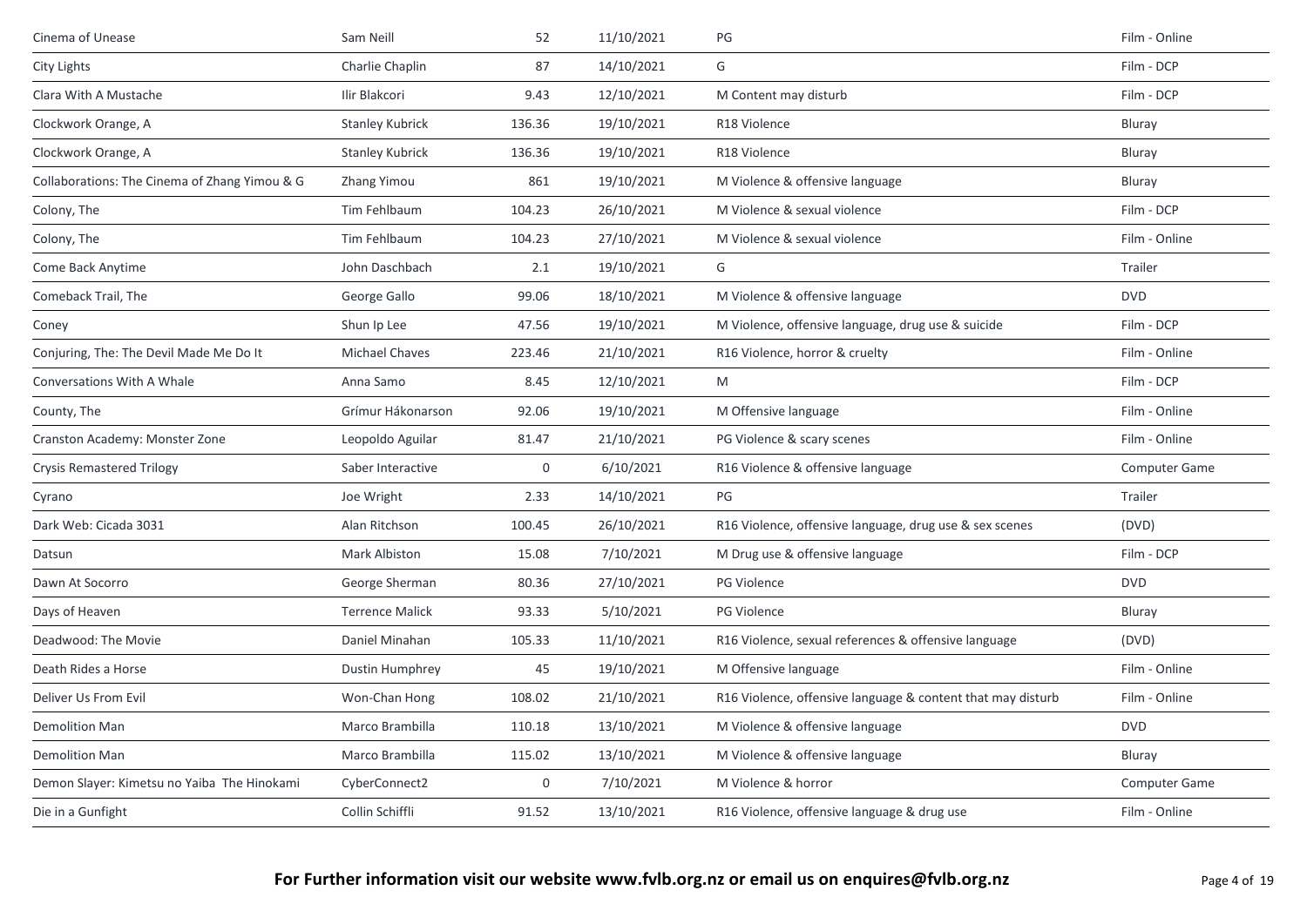| Cinema of Unease                              | Sam Neill              | 52               | 11/10/2021 | PG                                                          | Film - Online        |
|-----------------------------------------------|------------------------|------------------|------------|-------------------------------------------------------------|----------------------|
| City Lights                                   | Charlie Chaplin        | 87               | 14/10/2021 | G                                                           | Film - DCP           |
| Clara With A Mustache                         | Ilir Blakcori          | 9.43             | 12/10/2021 | M Content may disturb                                       | Film - DCP           |
| Clockwork Orange, A                           | <b>Stanley Kubrick</b> | 136.36           | 19/10/2021 | R18 Violence                                                | Bluray               |
| Clockwork Orange, A                           | <b>Stanley Kubrick</b> | 136.36           | 19/10/2021 | R18 Violence                                                | Bluray               |
| Collaborations: The Cinema of Zhang Yimou & G | Zhang Yimou            | 861              | 19/10/2021 | M Violence & offensive language                             | Bluray               |
| Colony, The                                   | Tim Fehlbaum           | 104.23           | 26/10/2021 | M Violence & sexual violence                                | Film - DCP           |
| Colony, The                                   | Tim Fehlbaum           | 104.23           | 27/10/2021 | M Violence & sexual violence                                | Film - Online        |
| Come Back Anytime                             | John Daschbach         | 2.1              | 19/10/2021 | G                                                           | Trailer              |
| Comeback Trail, The                           | George Gallo           | 99.06            | 18/10/2021 | M Violence & offensive language                             | <b>DVD</b>           |
| Coney                                         | Shun Ip Lee            | 47.56            | 19/10/2021 | M Violence, offensive language, drug use & suicide          | Film - DCP           |
| Conjuring, The: The Devil Made Me Do It       | Michael Chaves         | 223.46           | 21/10/2021 | R16 Violence, horror & cruelty                              | Film - Online        |
| Conversations With A Whale                    | Anna Samo              | 8.45             | 12/10/2021 | M                                                           | Film - DCP           |
| County, The                                   | Grímur Hákonarson      | 92.06            | 19/10/2021 | M Offensive language                                        | Film - Online        |
| Cranston Academy: Monster Zone                | Leopoldo Aguilar       | 81.47            | 21/10/2021 | PG Violence & scary scenes                                  | Film - Online        |
| <b>Crysis Remastered Trilogy</b>              | Saber Interactive      | $\mathbf 0$      | 6/10/2021  | R16 Violence & offensive language                           | Computer Game        |
| Cyrano                                        | Joe Wright             | 2.33             | 14/10/2021 | PG                                                          | Trailer              |
| Dark Web: Cicada 3031                         | Alan Ritchson          | 100.45           | 26/10/2021 | R16 Violence, offensive language, drug use & sex scenes     | (DVD)                |
| Datsun                                        | Mark Albiston          | 15.08            | 7/10/2021  | M Drug use & offensive language                             | Film - DCP           |
| Dawn At Socorro                               | George Sherman         | 80.36            | 27/10/2021 | <b>PG Violence</b>                                          | <b>DVD</b>           |
| Days of Heaven                                | <b>Terrence Malick</b> | 93.33            | 5/10/2021  | PG Violence                                                 | Bluray               |
| Deadwood: The Movie                           | Daniel Minahan         | 105.33           | 11/10/2021 | R16 Violence, sexual references & offensive language        | (DVD)                |
| Death Rides a Horse                           | <b>Dustin Humphrey</b> | 45               | 19/10/2021 | M Offensive language                                        | Film - Online        |
| Deliver Us From Evil                          | Won-Chan Hong          | 108.02           | 21/10/2021 | R16 Violence, offensive language & content that may disturb | Film - Online        |
| <b>Demolition Man</b>                         | Marco Brambilla        | 110.18           | 13/10/2021 | M Violence & offensive language                             | <b>DVD</b>           |
| <b>Demolition Man</b>                         | Marco Brambilla        | 115.02           | 13/10/2021 | M Violence & offensive language                             | Bluray               |
| Demon Slayer: Kimetsu no Yaiba The Hinokami   | CyberConnect2          | $\boldsymbol{0}$ | 7/10/2021  | M Violence & horror                                         | <b>Computer Game</b> |
| Die in a Gunfight                             | Collin Schiffli        | 91.52            | 13/10/2021 | R16 Violence, offensive language & drug use                 | Film - Online        |
|                                               |                        |                  |            |                                                             |                      |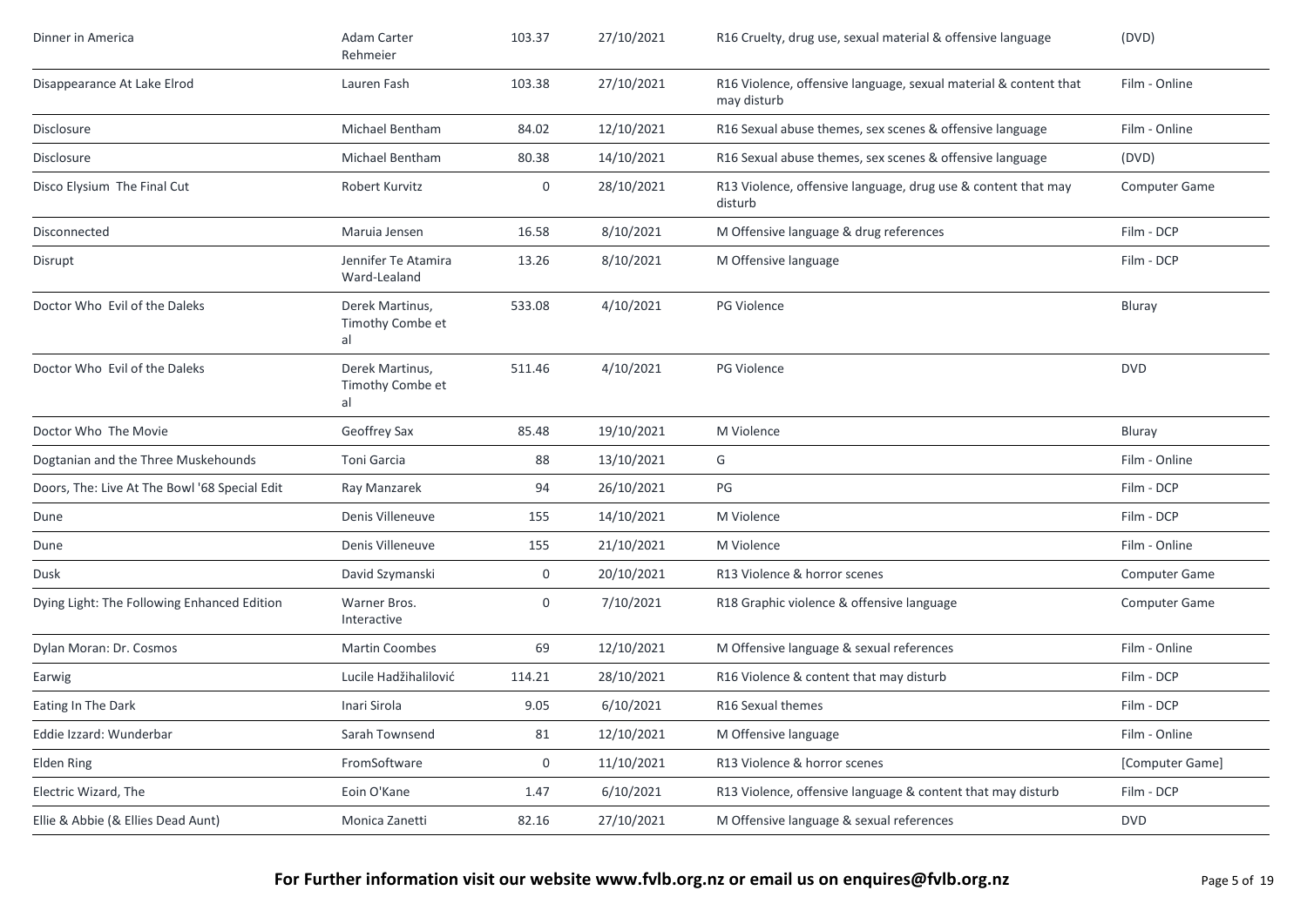| Dinner in America                             | Adam Carter<br>Rehmeier                   | 103.37 | 27/10/2021 | R16 Cruelty, drug use, sexual material & offensive language                     | (DVD)                |
|-----------------------------------------------|-------------------------------------------|--------|------------|---------------------------------------------------------------------------------|----------------------|
| Disappearance At Lake Elrod                   | Lauren Fash                               | 103.38 | 27/10/2021 | R16 Violence, offensive language, sexual material & content that<br>may disturb | Film - Online        |
| Disclosure                                    | Michael Bentham                           | 84.02  | 12/10/2021 | R16 Sexual abuse themes, sex scenes & offensive language                        | Film - Online        |
| <b>Disclosure</b>                             | Michael Bentham                           | 80.38  | 14/10/2021 | R16 Sexual abuse themes, sex scenes & offensive language                        | (DVD)                |
| Disco Elysium The Final Cut                   | Robert Kurvitz                            | 0      | 28/10/2021 | R13 Violence, offensive language, drug use & content that may<br>disturb        | Computer Game        |
| Disconnected                                  | Maruia Jensen                             | 16.58  | 8/10/2021  | M Offensive language & drug references                                          | Film - DCP           |
| Disrupt                                       | Jennifer Te Atamira<br>Ward-Lealand       | 13.26  | 8/10/2021  | M Offensive language                                                            | Film - DCP           |
| Doctor Who Evil of the Daleks                 | Derek Martinus,<br>Timothy Combe et<br>al | 533.08 | 4/10/2021  | <b>PG Violence</b>                                                              | Bluray               |
| Doctor Who Evil of the Daleks                 | Derek Martinus,<br>Timothy Combe et<br>al | 511.46 | 4/10/2021  | PG Violence                                                                     | <b>DVD</b>           |
| Doctor Who The Movie                          | Geoffrey Sax                              | 85.48  | 19/10/2021 | M Violence                                                                      | Bluray               |
| Dogtanian and the Three Muskehounds           | Toni Garcia                               | 88     | 13/10/2021 | G                                                                               | Film - Online        |
| Doors, The: Live At The Bowl '68 Special Edit | Ray Manzarek                              | 94     | 26/10/2021 | PG                                                                              | Film - DCP           |
| Dune                                          | Denis Villeneuve                          | 155    | 14/10/2021 | M Violence                                                                      | Film - DCP           |
| Dune                                          | Denis Villeneuve                          | 155    | 21/10/2021 | M Violence                                                                      | Film - Online        |
| Dusk                                          | David Szymanski                           | 0      | 20/10/2021 | R13 Violence & horror scenes                                                    | <b>Computer Game</b> |
| Dying Light: The Following Enhanced Edition   | Warner Bros.<br>Interactive               | 0      | 7/10/2021  | R18 Graphic violence & offensive language                                       | <b>Computer Game</b> |
| Dylan Moran: Dr. Cosmos                       | <b>Martin Coombes</b>                     | 69     | 12/10/2021 | M Offensive language & sexual references                                        | Film - Online        |
| Earwig                                        | Lucile Hadžihalilović                     | 114.21 | 28/10/2021 | R16 Violence & content that may disturb                                         | Film - DCP           |
| Eating In The Dark                            | Inari Sirola                              | 9.05   | 6/10/2021  | R16 Sexual themes                                                               | Film - DCP           |
| Eddie Izzard: Wunderbar                       | Sarah Townsend                            | 81     | 12/10/2021 | M Offensive language                                                            | Film - Online        |
| Elden Ring                                    | FromSoftware                              | 0      | 11/10/2021 | R13 Violence & horror scenes                                                    | [Computer Game]      |
| Electric Wizard, The                          | Eoin O'Kane                               | 1.47   | 6/10/2021  | R13 Violence, offensive language & content that may disturb                     | Film - DCP           |
| Ellie & Abbie (& Ellies Dead Aunt)            | Monica Zanetti                            | 82.16  | 27/10/2021 | M Offensive language & sexual references                                        | <b>DVD</b>           |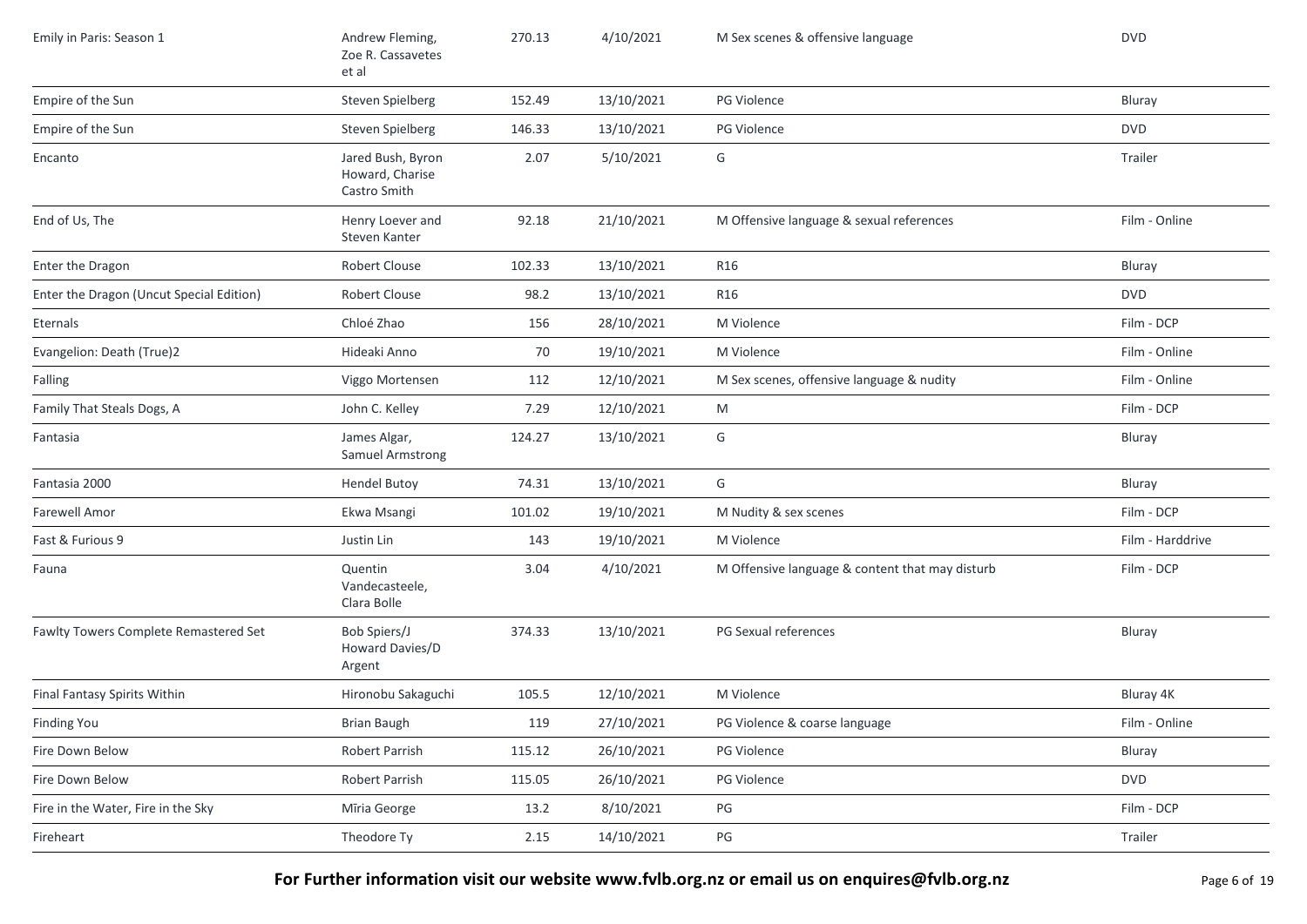| Emily in Paris: Season 1                 | Andrew Fleming,<br>Zoe R. Cassavetes<br>et al        | 270.13 | 4/10/2021  | M Sex scenes & offensive language               | <b>DVD</b>       |
|------------------------------------------|------------------------------------------------------|--------|------------|-------------------------------------------------|------------------|
| Empire of the Sun                        | Steven Spielberg                                     | 152.49 | 13/10/2021 | PG Violence                                     | Bluray           |
| Empire of the Sun                        | Steven Spielberg                                     | 146.33 | 13/10/2021 | PG Violence                                     | <b>DVD</b>       |
| Encanto                                  | Jared Bush, Byron<br>Howard, Charise<br>Castro Smith | 2.07   | 5/10/2021  | G                                               | Trailer          |
| End of Us, The                           | Henry Loever and<br>Steven Kanter                    | 92.18  | 21/10/2021 | M Offensive language & sexual references        | Film - Online    |
| Enter the Dragon                         | Robert Clouse                                        | 102.33 | 13/10/2021 | R16                                             | Bluray           |
| Enter the Dragon (Uncut Special Edition) | Robert Clouse                                        | 98.2   | 13/10/2021 | R16                                             | <b>DVD</b>       |
| Eternals                                 | Chloé Zhao                                           | 156    | 28/10/2021 | M Violence                                      | Film - DCP       |
| Evangelion: Death (True)2                | Hideaki Anno                                         | 70     | 19/10/2021 | M Violence                                      | Film - Online    |
| Falling                                  | Viggo Mortensen                                      | 112    | 12/10/2021 | M Sex scenes, offensive language & nudity       | Film - Online    |
| Family That Steals Dogs, A               | John C. Kelley                                       | 7.29   | 12/10/2021 | M                                               | Film - DCP       |
| Fantasia                                 | James Algar,<br><b>Samuel Armstrong</b>              | 124.27 | 13/10/2021 | G                                               | Bluray           |
| Fantasia 2000                            | <b>Hendel Butoy</b>                                  | 74.31  | 13/10/2021 | G                                               | Bluray           |
| <b>Farewell Amor</b>                     | Ekwa Msangi                                          | 101.02 | 19/10/2021 | M Nudity & sex scenes                           | Film - DCP       |
| Fast & Furious 9                         | Justin Lin                                           | 143    | 19/10/2021 | M Violence                                      | Film - Harddrive |
| Fauna                                    | Quentin<br>Vandecasteele,<br>Clara Bolle             | 3.04   | 4/10/2021  | M Offensive language & content that may disturb | Film - DCP       |
| Fawlty Towers Complete Remastered Set    | Bob Spiers/J<br>Howard Davies/D<br>Argent            | 374.33 | 13/10/2021 | PG Sexual references                            | Bluray           |
| Final Fantasy Spirits Within             | Hironobu Sakaguchi                                   | 105.5  | 12/10/2021 | M Violence                                      | Bluray 4K        |
| <b>Finding You</b>                       | <b>Brian Baugh</b>                                   | 119    | 27/10/2021 | PG Violence & coarse language                   | Film - Online    |
| Fire Down Below                          | Robert Parrish                                       | 115.12 | 26/10/2021 | PG Violence                                     | Bluray           |
| Fire Down Below                          | Robert Parrish                                       | 115.05 | 26/10/2021 | PG Violence                                     | <b>DVD</b>       |
| Fire in the Water, Fire in the Sky       | Mīria George                                         | 13.2   | 8/10/2021  | PG                                              | Film - DCP       |
| Fireheart                                | Theodore Ty                                          | 2.15   | 14/10/2021 | PG                                              | Trailer          |

**For Further information visit our website www.fvlb.org.nz or email us on enquires@fvlb.org.nz** Page 6 of 19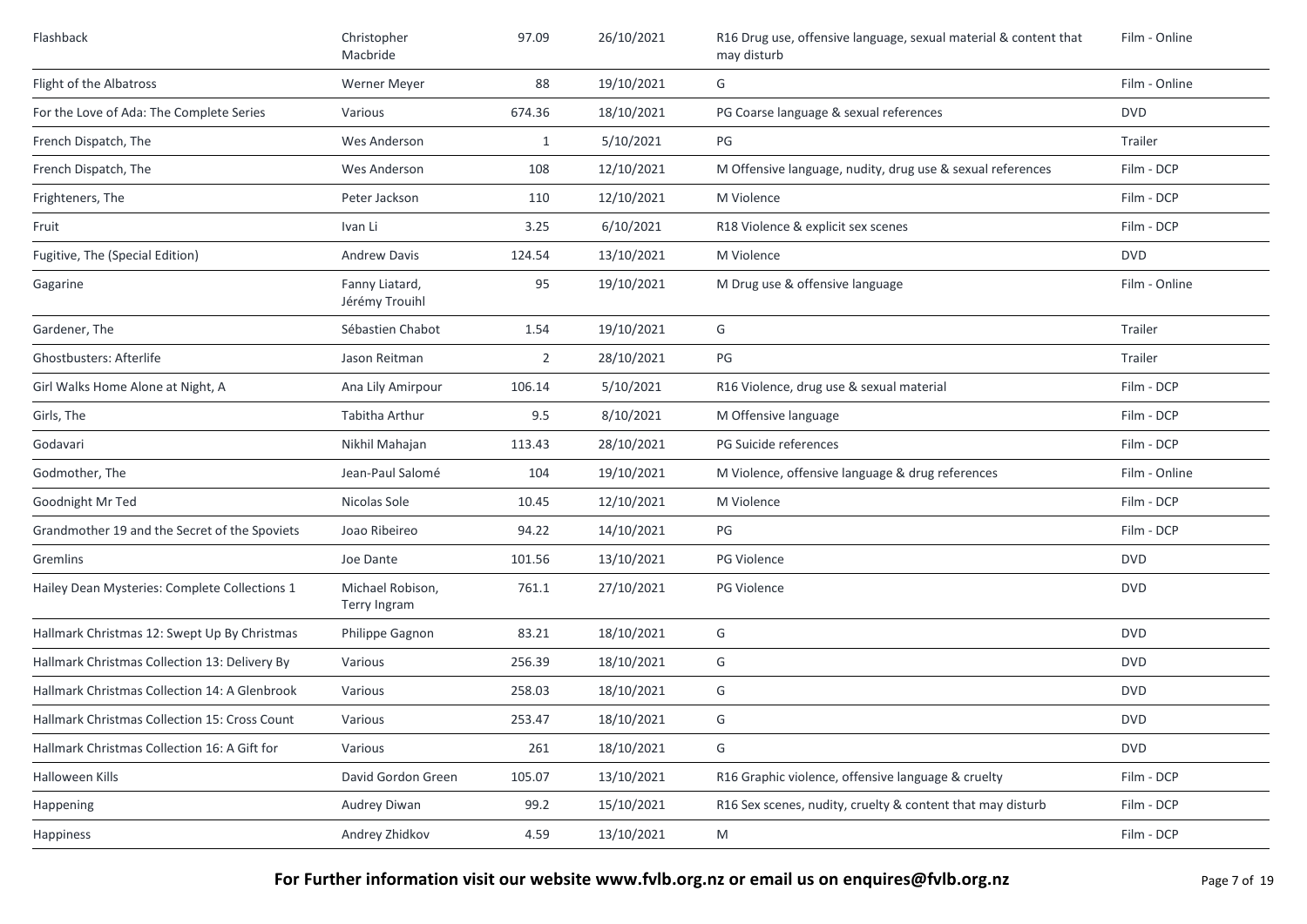| Flashback                                     | Christopher<br>Macbride                 | 97.09  | 26/10/2021 | R16 Drug use, offensive language, sexual material & content that<br>may disturb | Film - Online |
|-----------------------------------------------|-----------------------------------------|--------|------------|---------------------------------------------------------------------------------|---------------|
| Flight of the Albatross                       | Werner Meyer                            | 88     | 19/10/2021 | G                                                                               | Film - Online |
| For the Love of Ada: The Complete Series      | Various                                 | 674.36 | 18/10/2021 | PG Coarse language & sexual references                                          | <b>DVD</b>    |
| French Dispatch, The                          | Wes Anderson                            | 1      | 5/10/2021  | PG                                                                              | Trailer       |
| French Dispatch, The                          | Wes Anderson                            | 108    | 12/10/2021 | M Offensive language, nudity, drug use & sexual references                      | Film - DCP    |
| Frighteners, The                              | Peter Jackson                           | 110    | 12/10/2021 | M Violence                                                                      | Film - DCP    |
| Fruit                                         | Ivan Li                                 | 3.25   | 6/10/2021  | R18 Violence & explicit sex scenes                                              | Film - DCP    |
| Fugitive, The (Special Edition)               | <b>Andrew Davis</b>                     | 124.54 | 13/10/2021 | M Violence                                                                      | <b>DVD</b>    |
| Gagarine                                      | Fanny Liatard,<br>Jérémy Trouihl        | 95     | 19/10/2021 | M Drug use & offensive language                                                 | Film - Online |
| Gardener, The                                 | Sébastien Chabot                        | 1.54   | 19/10/2021 | G                                                                               | Trailer       |
| Ghostbusters: Afterlife                       | Jason Reitman                           | 2      | 28/10/2021 | PG                                                                              | Trailer       |
| Girl Walks Home Alone at Night, A             | Ana Lily Amirpour                       | 106.14 | 5/10/2021  | R16 Violence, drug use & sexual material                                        | Film - DCP    |
| Girls, The                                    | Tabitha Arthur                          | 9.5    | 8/10/2021  | M Offensive language                                                            | Film - DCP    |
| Godavari                                      | Nikhil Mahajan                          | 113.43 | 28/10/2021 | PG Suicide references                                                           | Film - DCP    |
| Godmother, The                                | Jean-Paul Salomé                        | 104    | 19/10/2021 | M Violence, offensive language & drug references                                | Film - Online |
| Goodnight Mr Ted                              | Nicolas Sole                            | 10.45  | 12/10/2021 | M Violence                                                                      | Film - DCP    |
| Grandmother 19 and the Secret of the Spoviets | Joao Ribeireo                           | 94.22  | 14/10/2021 | PG                                                                              | Film - DCP    |
| Gremlins                                      | Joe Dante                               | 101.56 | 13/10/2021 | PG Violence                                                                     | <b>DVD</b>    |
| Hailey Dean Mysteries: Complete Collections 1 | Michael Robison,<br><b>Terry Ingram</b> | 761.1  | 27/10/2021 | <b>PG Violence</b>                                                              | <b>DVD</b>    |
| Hallmark Christmas 12: Swept Up By Christmas  | Philippe Gagnon                         | 83.21  | 18/10/2021 | G                                                                               | <b>DVD</b>    |
| Hallmark Christmas Collection 13: Delivery By | Various                                 | 256.39 | 18/10/2021 | G                                                                               | <b>DVD</b>    |
| Hallmark Christmas Collection 14: A Glenbrook | Various                                 | 258.03 | 18/10/2021 | G                                                                               | <b>DVD</b>    |
| Hallmark Christmas Collection 15: Cross Count | Various                                 | 253.47 | 18/10/2021 | G                                                                               | <b>DVD</b>    |
| Hallmark Christmas Collection 16: A Gift for  | Various                                 | 261    | 18/10/2021 | G                                                                               | <b>DVD</b>    |
| Halloween Kills                               | David Gordon Green                      | 105.07 | 13/10/2021 | R16 Graphic violence, offensive language & cruelty                              | Film - DCP    |
| Happening                                     | Audrey Diwan                            | 99.2   | 15/10/2021 | R16 Sex scenes, nudity, cruelty & content that may disturb                      | Film - DCP    |
| Happiness                                     | Andrey Zhidkov                          | 4.59   | 13/10/2021 | M                                                                               | Film - DCP    |

**For Further information visit our website www.fvlb.org.nz or email us on enquires@fvlb.org.nz** Page 7 of 19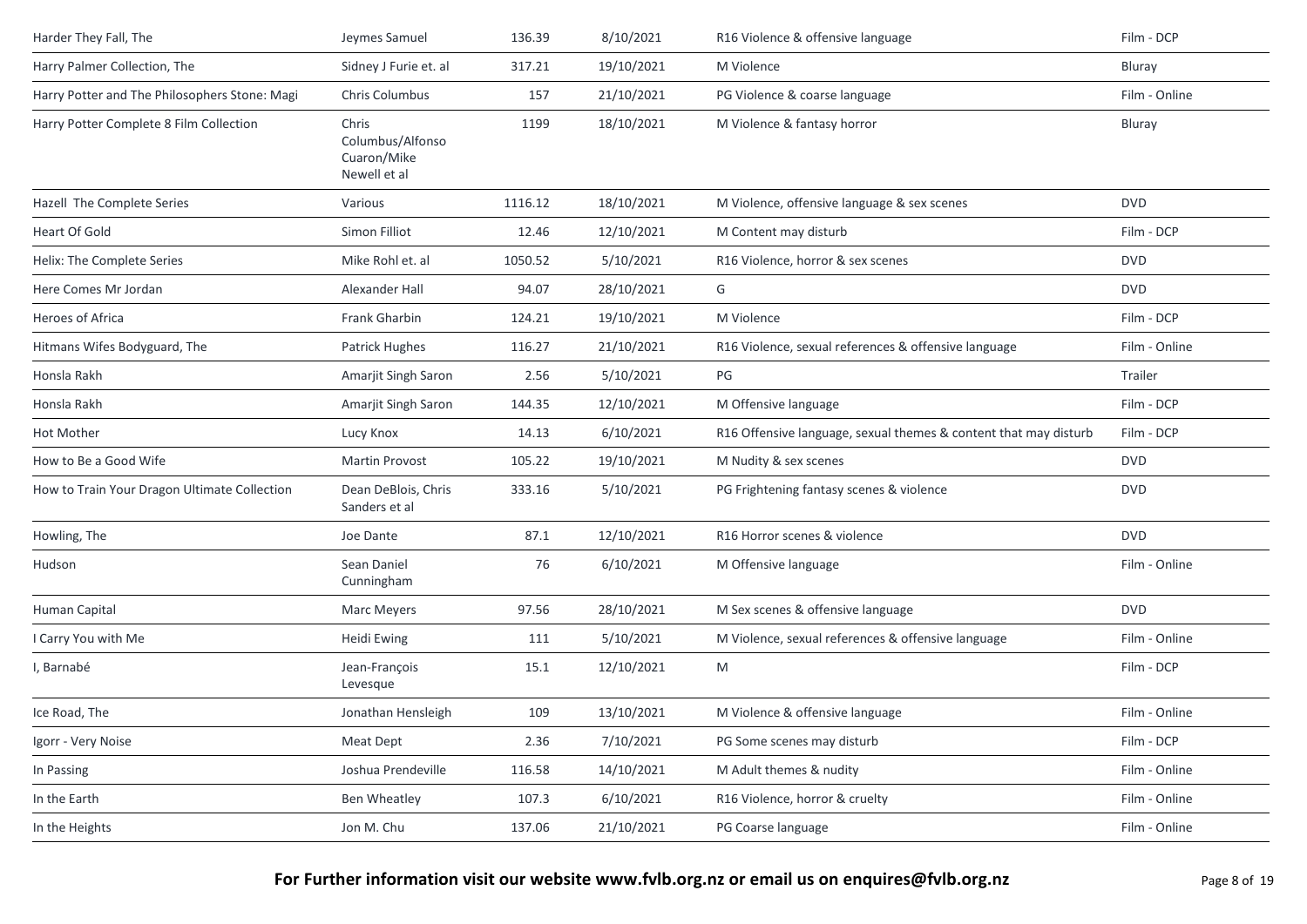| Harder They Fall, The                         | Jeymes Samuel                                            | 136.39  | 8/10/2021  | R16 Violence & offensive language                                | Film - DCP    |
|-----------------------------------------------|----------------------------------------------------------|---------|------------|------------------------------------------------------------------|---------------|
| Harry Palmer Collection, The                  | Sidney J Furie et. al                                    | 317.21  | 19/10/2021 | M Violence                                                       | Bluray        |
| Harry Potter and The Philosophers Stone: Magi | Chris Columbus                                           | 157     | 21/10/2021 | PG Violence & coarse language                                    | Film - Online |
| Harry Potter Complete 8 Film Collection       | Chris<br>Columbus/Alfonso<br>Cuaron/Mike<br>Newell et al | 1199    | 18/10/2021 | M Violence & fantasy horror                                      | Bluray        |
| Hazell The Complete Series                    | Various                                                  | 1116.12 | 18/10/2021 | M Violence, offensive language & sex scenes                      | <b>DVD</b>    |
| Heart Of Gold                                 | Simon Filliot                                            | 12.46   | 12/10/2021 | M Content may disturb                                            | Film - DCP    |
| Helix: The Complete Series                    | Mike Rohl et. al                                         | 1050.52 | 5/10/2021  | R16 Violence, horror & sex scenes                                | <b>DVD</b>    |
| Here Comes Mr Jordan                          | Alexander Hall                                           | 94.07   | 28/10/2021 | G                                                                | <b>DVD</b>    |
| Heroes of Africa                              | Frank Gharbin                                            | 124.21  | 19/10/2021 | M Violence                                                       | Film - DCP    |
| Hitmans Wifes Bodyguard, The                  | Patrick Hughes                                           | 116.27  | 21/10/2021 | R16 Violence, sexual references & offensive language             | Film - Online |
| Honsla Rakh                                   | Amarjit Singh Saron                                      | 2.56    | 5/10/2021  | PG                                                               | Trailer       |
| Honsla Rakh                                   | Amarjit Singh Saron                                      | 144.35  | 12/10/2021 | M Offensive language                                             | Film - DCP    |
| Hot Mother                                    | Lucy Knox                                                | 14.13   | 6/10/2021  | R16 Offensive language, sexual themes & content that may disturb | Film - DCP    |
| How to Be a Good Wife                         | <b>Martin Provost</b>                                    | 105.22  | 19/10/2021 | M Nudity & sex scenes                                            | <b>DVD</b>    |
| How to Train Your Dragon Ultimate Collection  | Dean DeBlois, Chris<br>Sanders et al                     | 333.16  | 5/10/2021  | PG Frightening fantasy scenes & violence                         | <b>DVD</b>    |
| Howling, The                                  | Joe Dante                                                | 87.1    | 12/10/2021 | R16 Horror scenes & violence                                     | <b>DVD</b>    |
| Hudson                                        | Sean Daniel<br>Cunningham                                | 76      | 6/10/2021  | M Offensive language                                             | Film - Online |
| Human Capital                                 | Marc Meyers                                              | 97.56   | 28/10/2021 | M Sex scenes & offensive language                                | <b>DVD</b>    |
| I Carry You with Me                           | Heidi Ewing                                              | 111     | 5/10/2021  | M Violence, sexual references & offensive language               | Film - Online |
| I, Barnabé                                    | Jean-François<br>Levesque                                | 15.1    | 12/10/2021 | M                                                                | Film - DCP    |
| Ice Road, The                                 | Jonathan Hensleigh                                       | 109     | 13/10/2021 | M Violence & offensive language                                  | Film - Online |
| Igorr - Very Noise                            | Meat Dept                                                | 2.36    | 7/10/2021  | PG Some scenes may disturb                                       | Film - DCP    |
| In Passing                                    | Joshua Prendeville                                       | 116.58  | 14/10/2021 | M Adult themes & nudity                                          | Film - Online |
| In the Earth                                  | Ben Wheatley                                             | 107.3   | 6/10/2021  | R16 Violence, horror & cruelty                                   | Film - Online |
| In the Heights                                | Jon M. Chu                                               | 137.06  | 21/10/2021 | PG Coarse language                                               | Film - Online |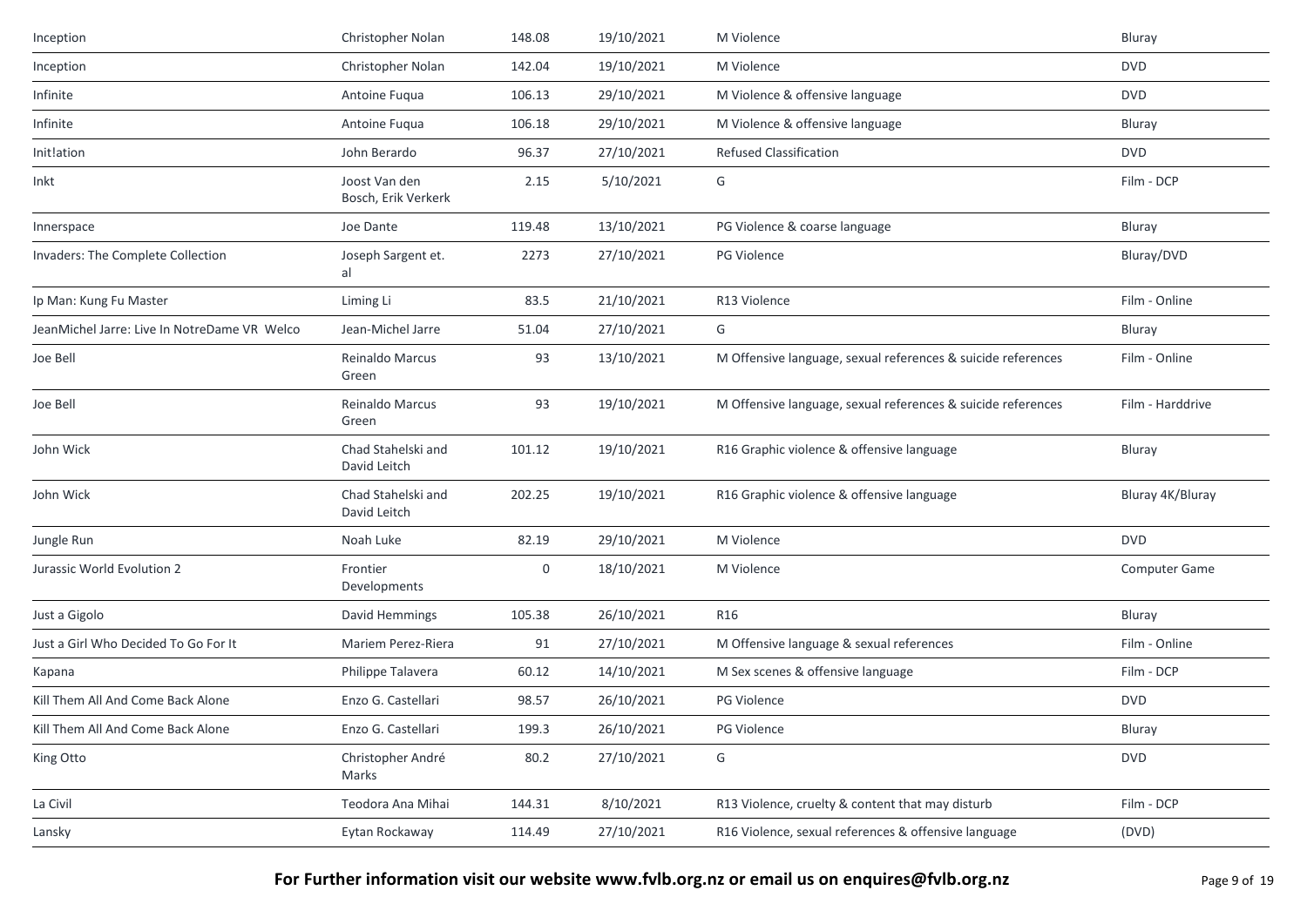| Inception                                    | Christopher Nolan                    | 148.08 | 19/10/2021 | M Violence                                                   | Bluray               |
|----------------------------------------------|--------------------------------------|--------|------------|--------------------------------------------------------------|----------------------|
| Inception                                    | Christopher Nolan                    | 142.04 | 19/10/2021 | M Violence                                                   | <b>DVD</b>           |
| Infinite                                     | Antoine Fuqua                        | 106.13 | 29/10/2021 | M Violence & offensive language                              | <b>DVD</b>           |
| Infinite                                     | Antoine Fuqua                        | 106.18 | 29/10/2021 | M Violence & offensive language                              | Bluray               |
| Init!ation                                   | John Berardo                         | 96.37  | 27/10/2021 | <b>Refused Classification</b>                                | <b>DVD</b>           |
| Inkt                                         | Joost Van den<br>Bosch, Erik Verkerk | 2.15   | 5/10/2021  | G                                                            | Film - DCP           |
| Innerspace                                   | Joe Dante                            | 119.48 | 13/10/2021 | PG Violence & coarse language                                | Bluray               |
| Invaders: The Complete Collection            | Joseph Sargent et.<br>al             | 2273   | 27/10/2021 | <b>PG Violence</b>                                           | Bluray/DVD           |
| Ip Man: Kung Fu Master                       | Liming Li                            | 83.5   | 21/10/2021 | R13 Violence                                                 | Film - Online        |
| JeanMichel Jarre: Live In NotreDame VR Welco | Jean-Michel Jarre                    | 51.04  | 27/10/2021 | G                                                            | Bluray               |
| Joe Bell                                     | Reinaldo Marcus<br>Green             | 93     | 13/10/2021 | M Offensive language, sexual references & suicide references | Film - Online        |
| Joe Bell                                     | Reinaldo Marcus<br>Green             | 93     | 19/10/2021 | M Offensive language, sexual references & suicide references | Film - Harddrive     |
| John Wick                                    | Chad Stahelski and<br>David Leitch   | 101.12 | 19/10/2021 | R16 Graphic violence & offensive language                    | Bluray               |
| John Wick                                    | Chad Stahelski and<br>David Leitch   | 202.25 | 19/10/2021 | R16 Graphic violence & offensive language                    | Bluray 4K/Bluray     |
| Jungle Run                                   | Noah Luke                            | 82.19  | 29/10/2021 | M Violence                                                   | <b>DVD</b>           |
| Jurassic World Evolution 2                   | Frontier<br>Developments             | 0      | 18/10/2021 | M Violence                                                   | <b>Computer Game</b> |
| Just a Gigolo                                | David Hemmings                       | 105.38 | 26/10/2021 | R16                                                          | Bluray               |
| Just a Girl Who Decided To Go For It         | Mariem Perez-Riera                   | 91     | 27/10/2021 | M Offensive language & sexual references                     | Film - Online        |
| Kapana                                       | Philippe Talavera                    | 60.12  | 14/10/2021 | M Sex scenes & offensive language                            | Film - DCP           |
| Kill Them All And Come Back Alone            | Enzo G. Castellari                   | 98.57  | 26/10/2021 | PG Violence                                                  | <b>DVD</b>           |
| Kill Them All And Come Back Alone            | Enzo G. Castellari                   | 199.3  | 26/10/2021 | PG Violence                                                  | Bluray               |
| King Otto                                    | Christopher André<br>Marks           | 80.2   | 27/10/2021 | G                                                            | <b>DVD</b>           |
| La Civil                                     | Teodora Ana Mihai                    | 144.31 | 8/10/2021  | R13 Violence, cruelty & content that may disturb             | Film - DCP           |
| Lansky                                       | Eytan Rockaway                       | 114.49 | 27/10/2021 | R16 Violence, sexual references & offensive language         | (DVD)                |
|                                              |                                      |        |            |                                                              |                      |

**For Further information visit our website www.fvlb.org.nz or email us on enquires@fvlb.org.nz** Page 9 of 19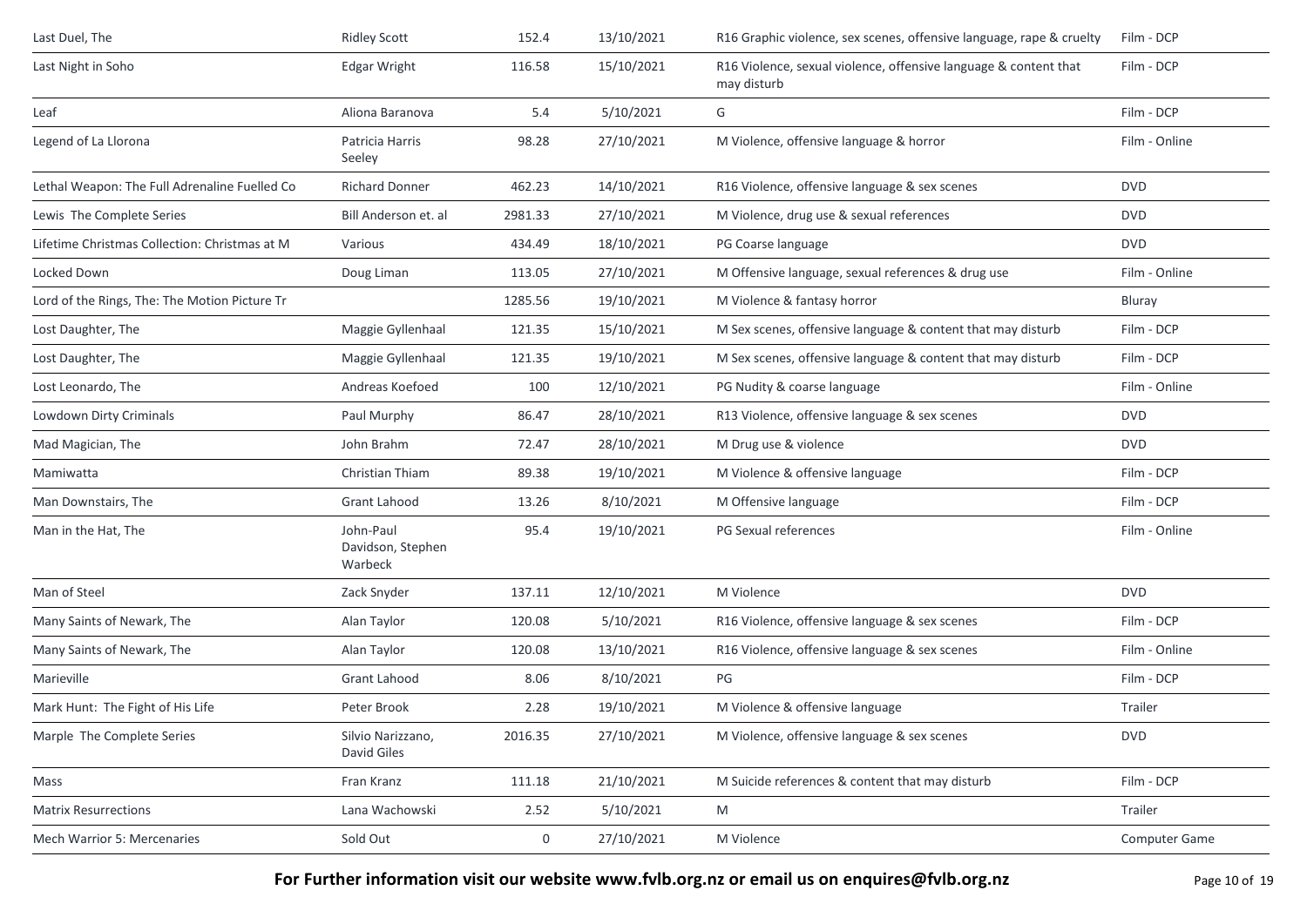| Last Duel, The                                | <b>Ridley Scott</b>                       | 152.4   | 13/10/2021 | R16 Graphic violence, sex scenes, offensive language, rape & cruelty            | Film - DCP    |
|-----------------------------------------------|-------------------------------------------|---------|------------|---------------------------------------------------------------------------------|---------------|
| Last Night in Soho                            | <b>Edgar Wright</b>                       | 116.58  | 15/10/2021 | R16 Violence, sexual violence, offensive language & content that<br>may disturb | Film - DCP    |
| Leaf                                          | Aliona Baranova                           | 5.4     | 5/10/2021  | G                                                                               | Film - DCP    |
| Legend of La Llorona                          | Patricia Harris<br>Seeley                 | 98.28   | 27/10/2021 | M Violence, offensive language & horror                                         | Film - Online |
| Lethal Weapon: The Full Adrenaline Fuelled Co | <b>Richard Donner</b>                     | 462.23  | 14/10/2021 | R16 Violence, offensive language & sex scenes                                   | <b>DVD</b>    |
| Lewis The Complete Series                     | Bill Anderson et. al                      | 2981.33 | 27/10/2021 | M Violence, drug use & sexual references                                        | <b>DVD</b>    |
| Lifetime Christmas Collection: Christmas at M | Various                                   | 434.49  | 18/10/2021 | PG Coarse language                                                              | <b>DVD</b>    |
| Locked Down                                   | Doug Liman                                | 113.05  | 27/10/2021 | M Offensive language, sexual references & drug use                              | Film - Online |
| Lord of the Rings, The: The Motion Picture Tr |                                           | 1285.56 | 19/10/2021 | M Violence & fantasy horror                                                     | Bluray        |
| Lost Daughter, The                            | Maggie Gyllenhaal                         | 121.35  | 15/10/2021 | M Sex scenes, offensive language & content that may disturb                     | Film - DCP    |
| Lost Daughter, The                            | Maggie Gyllenhaal                         | 121.35  | 19/10/2021 | M Sex scenes, offensive language & content that may disturb                     | Film - DCP    |
| Lost Leonardo, The                            | Andreas Koefoed                           | 100     | 12/10/2021 | PG Nudity & coarse language                                                     | Film - Online |
| Lowdown Dirty Criminals                       | Paul Murphy                               | 86.47   | 28/10/2021 | R13 Violence, offensive language & sex scenes                                   | <b>DVD</b>    |
| Mad Magician, The                             | John Brahm                                | 72.47   | 28/10/2021 | M Drug use & violence                                                           | <b>DVD</b>    |
| Mamiwatta                                     | Christian Thiam                           | 89.38   | 19/10/2021 | M Violence & offensive language                                                 | Film - DCP    |
| Man Downstairs, The                           | Grant Lahood                              | 13.26   | 8/10/2021  | M Offensive language                                                            | Film - DCP    |
| Man in the Hat, The                           | John-Paul<br>Davidson, Stephen<br>Warbeck | 95.4    | 19/10/2021 | PG Sexual references                                                            | Film - Online |
| Man of Steel                                  | Zack Snyder                               | 137.11  | 12/10/2021 | M Violence                                                                      | <b>DVD</b>    |
| Many Saints of Newark, The                    | Alan Taylor                               | 120.08  | 5/10/2021  | R16 Violence, offensive language & sex scenes                                   | Film - DCP    |
| Many Saints of Newark, The                    | Alan Taylor                               | 120.08  | 13/10/2021 | R16 Violence, offensive language & sex scenes                                   | Film - Online |
| Marieville                                    | <b>Grant Lahood</b>                       | 8.06    | 8/10/2021  | PG                                                                              | Film - DCP    |
| Mark Hunt: The Fight of His Life              | Peter Brook                               | 2.28    | 19/10/2021 | M Violence & offensive language                                                 | Trailer       |
| Marple The Complete Series                    | Silvio Narizzano,<br>David Giles          | 2016.35 | 27/10/2021 | M Violence, offensive language & sex scenes                                     | <b>DVD</b>    |
| Mass                                          | Fran Kranz                                | 111.18  | 21/10/2021 | M Suicide references & content that may disturb                                 | Film - DCP    |
| <b>Matrix Resurrections</b>                   | Lana Wachowski                            | 2.52    | 5/10/2021  | M                                                                               | Trailer       |
| Mech Warrior 5: Mercenaries                   | Sold Out                                  | 0       | 27/10/2021 | M Violence                                                                      | Computer Game |
|                                               |                                           |         |            |                                                                                 |               |

**For Further information visit our website www.fvlb.org.nz or email us on enquires@fvlb.org.nz** Page 10 of 19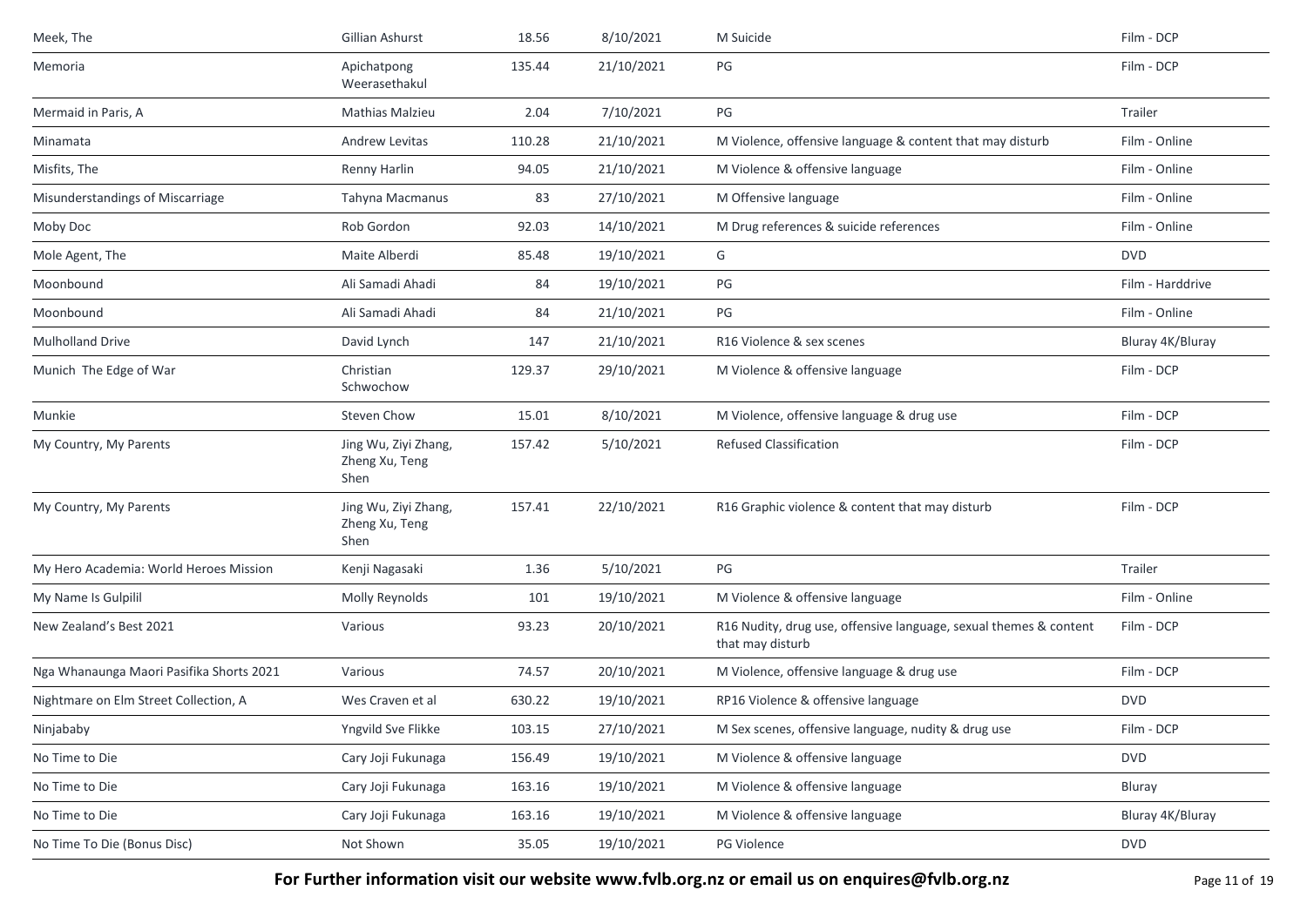| Meek, The                                | Gillian Ashurst                                | 18.56  | 8/10/2021  | M Suicide                                                                             | Film - DCP       |
|------------------------------------------|------------------------------------------------|--------|------------|---------------------------------------------------------------------------------------|------------------|
| Memoria                                  | Apichatpong<br>Weerasethakul                   | 135.44 | 21/10/2021 | PG                                                                                    | Film - DCP       |
| Mermaid in Paris, A                      | <b>Mathias Malzieu</b>                         | 2.04   | 7/10/2021  | PG                                                                                    | Trailer          |
| Minamata                                 | Andrew Levitas                                 | 110.28 | 21/10/2021 | M Violence, offensive language & content that may disturb                             | Film - Online    |
| Misfits, The                             | Renny Harlin                                   | 94.05  | 21/10/2021 | M Violence & offensive language                                                       | Film - Online    |
| Misunderstandings of Miscarriage         | Tahyna Macmanus                                | 83     | 27/10/2021 | M Offensive language                                                                  | Film - Online    |
| Moby Doc                                 | Rob Gordon                                     | 92.03  | 14/10/2021 | M Drug references & suicide references                                                | Film - Online    |
| Mole Agent, The                          | Maite Alberdi                                  | 85.48  | 19/10/2021 | G                                                                                     | <b>DVD</b>       |
| Moonbound                                | Ali Samadi Ahadi                               | 84     | 19/10/2021 | PG                                                                                    | Film - Harddrive |
| Moonbound                                | Ali Samadi Ahadi                               | 84     | 21/10/2021 | PG                                                                                    | Film - Online    |
| <b>Mulholland Drive</b>                  | David Lynch                                    | 147    | 21/10/2021 | R16 Violence & sex scenes                                                             | Bluray 4K/Bluray |
| Munich The Edge of War                   | Christian<br>Schwochow                         | 129.37 | 29/10/2021 | M Violence & offensive language                                                       | Film - DCP       |
| Munkie                                   | Steven Chow                                    | 15.01  | 8/10/2021  | M Violence, offensive language & drug use                                             | Film - DCP       |
| My Country, My Parents                   | Jing Wu, Ziyi Zhang,<br>Zheng Xu, Teng<br>Shen | 157.42 | 5/10/2021  | <b>Refused Classification</b>                                                         | Film - DCP       |
| My Country, My Parents                   | Jing Wu, Ziyi Zhang,<br>Zheng Xu, Teng<br>Shen | 157.41 | 22/10/2021 | R16 Graphic violence & content that may disturb                                       | Film - DCP       |
| My Hero Academia: World Heroes Mission   | Kenji Nagasaki                                 | 1.36   | 5/10/2021  | PG                                                                                    | Trailer          |
| My Name Is Gulpilil                      | Molly Reynolds                                 | 101    | 19/10/2021 | M Violence & offensive language                                                       | Film - Online    |
| New Zealand's Best 2021                  | Various                                        | 93.23  | 20/10/2021 | R16 Nudity, drug use, offensive language, sexual themes & content<br>that may disturb | Film - DCP       |
| Nga Whanaunga Maori Pasifika Shorts 2021 | Various                                        | 74.57  | 20/10/2021 | M Violence, offensive language & drug use                                             | Film - DCP       |
| Nightmare on Elm Street Collection, A    | Wes Craven et al                               | 630.22 | 19/10/2021 | RP16 Violence & offensive language                                                    | <b>DVD</b>       |
| Ninjababy                                | Yngvild Sve Flikke                             | 103.15 | 27/10/2021 | M Sex scenes, offensive language, nudity & drug use                                   | Film - DCP       |
| No Time to Die                           | Cary Joji Fukunaga                             | 156.49 | 19/10/2021 | M Violence & offensive language                                                       | <b>DVD</b>       |
| No Time to Die                           | Cary Joji Fukunaga                             | 163.16 | 19/10/2021 | M Violence & offensive language                                                       | Bluray           |
| No Time to Die                           | Cary Joji Fukunaga                             | 163.16 | 19/10/2021 | M Violence & offensive language                                                       | Bluray 4K/Bluray |
| No Time To Die (Bonus Disc)              | Not Shown                                      | 35.05  | 19/10/2021 | PG Violence                                                                           | <b>DVD</b>       |

**For Further information visit our website www.fvlb.org.nz or email us on enquires@fvlb.org.nz** Page 11 of 19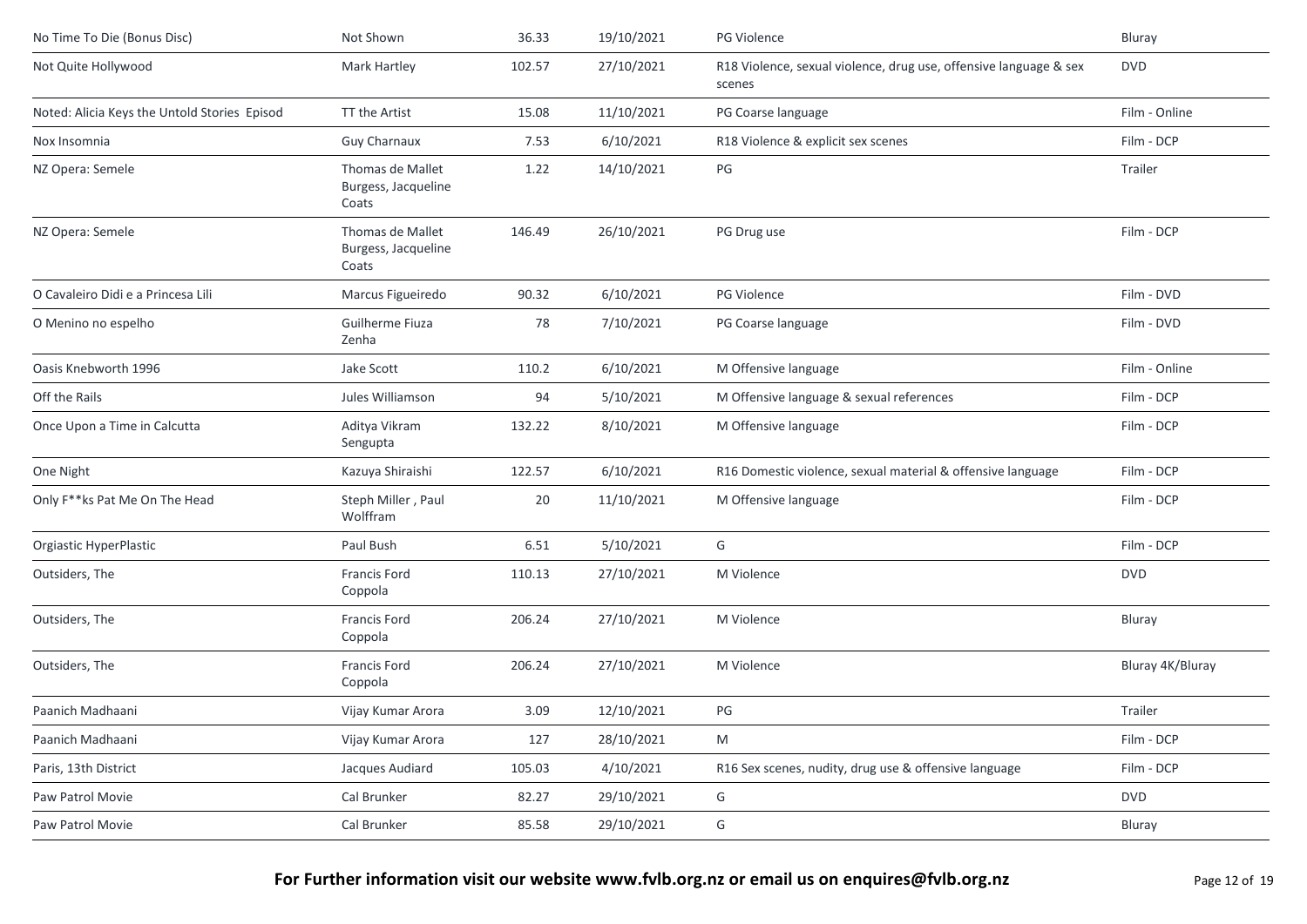| No Time To Die (Bonus Disc)                  | Not Shown                                        | 36.33  | 19/10/2021 | PG Violence                                                                 | Bluray           |
|----------------------------------------------|--------------------------------------------------|--------|------------|-----------------------------------------------------------------------------|------------------|
| Not Quite Hollywood                          | Mark Hartley                                     | 102.57 | 27/10/2021 | R18 Violence, sexual violence, drug use, offensive language & sex<br>scenes | <b>DVD</b>       |
| Noted: Alicia Keys the Untold Stories Episod | TT the Artist                                    | 15.08  | 11/10/2021 | PG Coarse language                                                          | Film - Online    |
| Nox Insomnia                                 | <b>Guy Charnaux</b>                              | 7.53   | 6/10/2021  | R18 Violence & explicit sex scenes                                          | Film - DCP       |
| NZ Opera: Semele                             | Thomas de Mallet<br>Burgess, Jacqueline<br>Coats | 1.22   | 14/10/2021 | PG                                                                          | Trailer          |
| NZ Opera: Semele                             | Thomas de Mallet<br>Burgess, Jacqueline<br>Coats | 146.49 | 26/10/2021 | PG Drug use                                                                 | Film - DCP       |
| O Cavaleiro Didi e a Princesa Lili           | Marcus Figueiredo                                | 90.32  | 6/10/2021  | PG Violence                                                                 | Film - DVD       |
| O Menino no espelho                          | Guilherme Fiuza<br>Zenha                         | 78     | 7/10/2021  | PG Coarse language                                                          | Film - DVD       |
| Oasis Knebworth 1996                         | Jake Scott                                       | 110.2  | 6/10/2021  | M Offensive language                                                        | Film - Online    |
| Off the Rails                                | Jules Williamson                                 | 94     | 5/10/2021  | M Offensive language & sexual references                                    | Film - DCP       |
| Once Upon a Time in Calcutta                 | Aditya Vikram<br>Sengupta                        | 132.22 | 8/10/2021  | M Offensive language                                                        | Film - DCP       |
| One Night                                    | Kazuya Shiraishi                                 | 122.57 | 6/10/2021  | R16 Domestic violence, sexual material & offensive language                 | Film - DCP       |
| Only F**ks Pat Me On The Head                | Steph Miller, Paul<br>Wolffram                   | 20     | 11/10/2021 | M Offensive language                                                        | Film - DCP       |
| Orgiastic HyperPlastic                       | Paul Bush                                        | 6.51   | 5/10/2021  | G                                                                           | Film - DCP       |
| Outsiders, The                               | Francis Ford<br>Coppola                          | 110.13 | 27/10/2021 | M Violence                                                                  | <b>DVD</b>       |
| Outsiders, The                               | Francis Ford<br>Coppola                          | 206.24 | 27/10/2021 | M Violence                                                                  | Bluray           |
| Outsiders, The                               | <b>Francis Ford</b><br>Coppola                   | 206.24 | 27/10/2021 | M Violence                                                                  | Bluray 4K/Bluray |
| Paanich Madhaani                             | Vijay Kumar Arora                                | 3.09   | 12/10/2021 | PG                                                                          | Trailer          |
| Paanich Madhaani                             | Vijay Kumar Arora                                | 127    | 28/10/2021 | M                                                                           | Film - DCP       |
| Paris, 13th District                         | Jacques Audiard                                  | 105.03 | 4/10/2021  | R16 Sex scenes, nudity, drug use & offensive language                       | Film - DCP       |
| Paw Patrol Movie                             | Cal Brunker                                      | 82.27  | 29/10/2021 | G                                                                           | <b>DVD</b>       |
| Paw Patrol Movie                             | Cal Brunker                                      | 85.58  | 29/10/2021 | G                                                                           | Bluray           |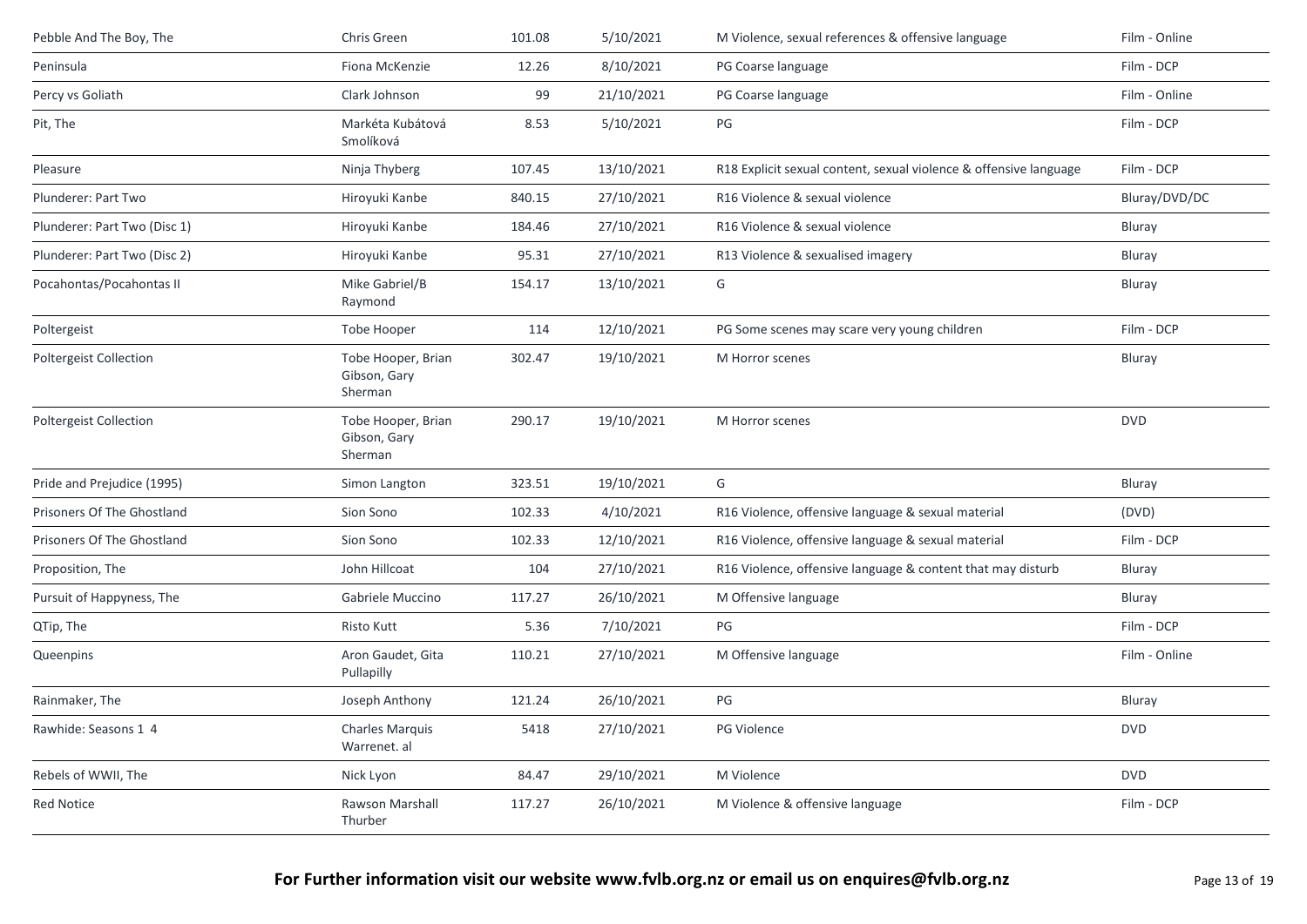| Pebble And The Boy, The       | Chris Green                                   | 101.08 | 5/10/2021  | M Violence, sexual references & offensive language                | Film - Online |
|-------------------------------|-----------------------------------------------|--------|------------|-------------------------------------------------------------------|---------------|
| Peninsula                     | Fiona McKenzie                                | 12.26  | 8/10/2021  | PG Coarse language                                                | Film - DCP    |
| Percy vs Goliath              | Clark Johnson                                 | 99     | 21/10/2021 | PG Coarse language                                                | Film - Online |
| Pit, The                      | Markéta Kubátová<br>Smolíková                 | 8.53   | 5/10/2021  | $\mathsf{PG}$                                                     | Film - DCP    |
| Pleasure                      | Ninja Thyberg                                 | 107.45 | 13/10/2021 | R18 Explicit sexual content, sexual violence & offensive language | Film - DCP    |
| Plunderer: Part Two           | Hiroyuki Kanbe                                | 840.15 | 27/10/2021 | R16 Violence & sexual violence                                    | Bluray/DVD/DC |
| Plunderer: Part Two (Disc 1)  | Hiroyuki Kanbe                                | 184.46 | 27/10/2021 | R16 Violence & sexual violence                                    | Bluray        |
| Plunderer: Part Two (Disc 2)  | Hiroyuki Kanbe                                | 95.31  | 27/10/2021 | R13 Violence & sexualised imagery                                 | Bluray        |
| Pocahontas/Pocahontas II      | Mike Gabriel/B<br>Raymond                     | 154.17 | 13/10/2021 | G                                                                 | Bluray        |
| Poltergeist                   | Tobe Hooper                                   | 114    | 12/10/2021 | PG Some scenes may scare very young children                      | Film - DCP    |
| <b>Poltergeist Collection</b> | Tobe Hooper, Brian<br>Gibson, Gary<br>Sherman | 302.47 | 19/10/2021 | M Horror scenes                                                   | Bluray        |
| <b>Poltergeist Collection</b> | Tobe Hooper, Brian<br>Gibson, Gary<br>Sherman | 290.17 | 19/10/2021 | M Horror scenes                                                   | <b>DVD</b>    |
| Pride and Prejudice (1995)    | Simon Langton                                 | 323.51 | 19/10/2021 | G                                                                 | Bluray        |
| Prisoners Of The Ghostland    | Sion Sono                                     | 102.33 | 4/10/2021  | R16 Violence, offensive language & sexual material                | (DVD)         |
| Prisoners Of The Ghostland    | Sion Sono                                     | 102.33 | 12/10/2021 | R16 Violence, offensive language & sexual material                | Film - DCP    |
| Proposition, The              | John Hillcoat                                 | 104    | 27/10/2021 | R16 Violence, offensive language & content that may disturb       | Bluray        |
| Pursuit of Happyness, The     | Gabriele Muccino                              | 117.27 | 26/10/2021 | M Offensive language                                              | Bluray        |
| QTip, The                     | Risto Kutt                                    | 5.36   | 7/10/2021  | PG                                                                | Film - DCP    |
| Queenpins                     | Aron Gaudet, Gita<br>Pullapilly               | 110.21 | 27/10/2021 | M Offensive language                                              | Film - Online |
| Rainmaker, The                | Joseph Anthony                                | 121.24 | 26/10/2021 | PG                                                                | Bluray        |
| Rawhide: Seasons 1 4          | <b>Charles Marquis</b><br>Warrenet. al        | 5418   | 27/10/2021 | <b>PG Violence</b>                                                | <b>DVD</b>    |
| Rebels of WWII, The           | Nick Lyon                                     | 84.47  | 29/10/2021 | M Violence                                                        | <b>DVD</b>    |
| Red Notice                    | Rawson Marshall<br>Thurber                    | 117.27 | 26/10/2021 | M Violence & offensive language                                   | Film - DCP    |
|                               |                                               |        |            |                                                                   |               |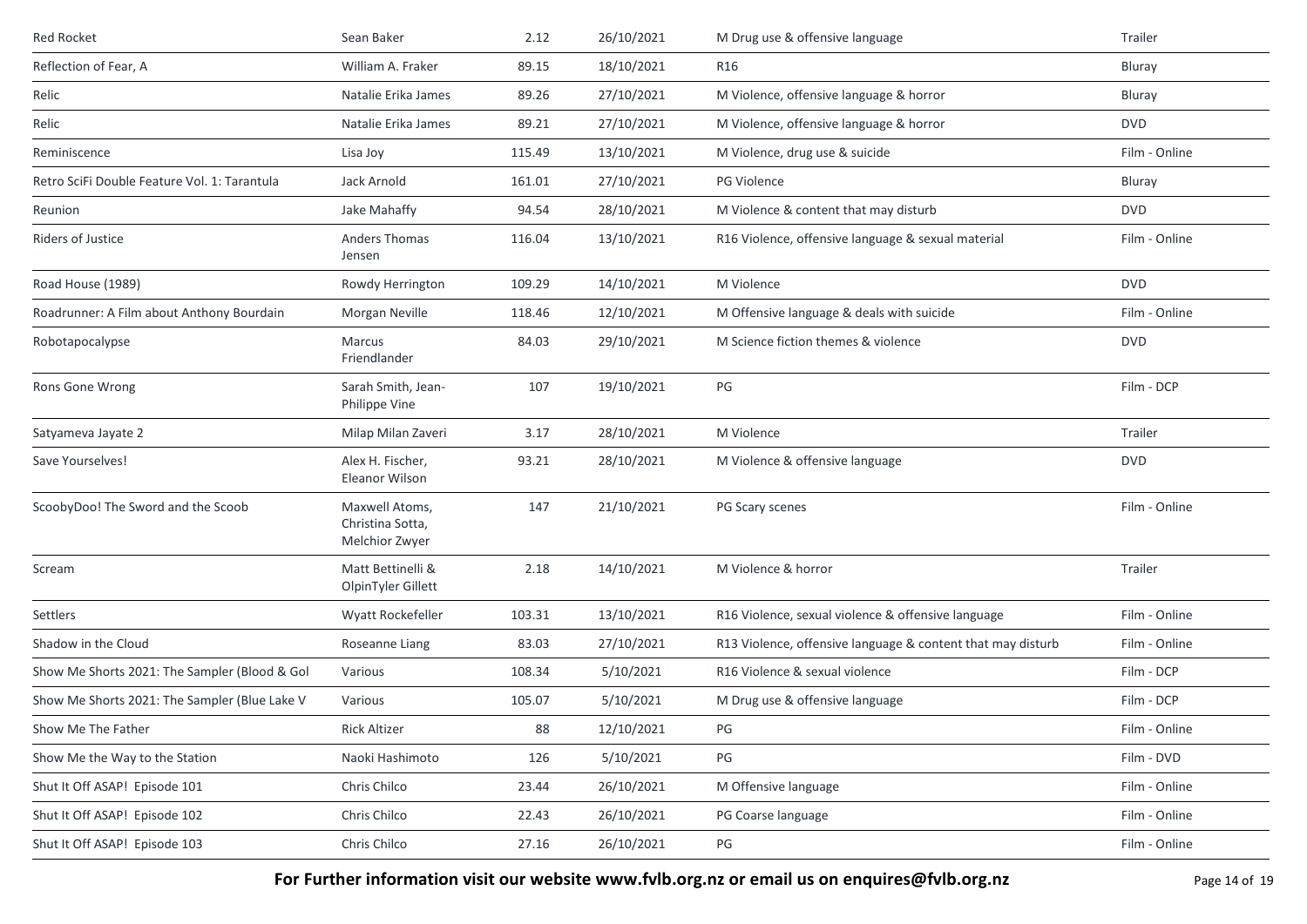| Red Rocket                                     | Sean Baker                                           | 2.12   | 26/10/2021 | M Drug use & offensive language                             | Trailer       |
|------------------------------------------------|------------------------------------------------------|--------|------------|-------------------------------------------------------------|---------------|
| Reflection of Fear, A                          | William A. Fraker                                    | 89.15  | 18/10/2021 | R <sub>16</sub>                                             | Bluray        |
| Relic                                          | Natalie Erika James                                  | 89.26  | 27/10/2021 | M Violence, offensive language & horror                     | <b>Bluray</b> |
| Relic                                          | Natalie Erika James                                  | 89.21  | 27/10/2021 | M Violence, offensive language & horror                     | <b>DVD</b>    |
| Reminiscence                                   | Lisa Joy                                             | 115.49 | 13/10/2021 | M Violence, drug use & suicide                              | Film - Online |
| Retro SciFi Double Feature Vol. 1: Tarantula   | Jack Arnold                                          | 161.01 | 27/10/2021 | <b>PG Violence</b>                                          | Bluray        |
| Reunion                                        | Jake Mahaffy                                         | 94.54  | 28/10/2021 | M Violence & content that may disturb                       | <b>DVD</b>    |
| <b>Riders of Justice</b>                       | <b>Anders Thomas</b><br>Jensen                       | 116.04 | 13/10/2021 | R16 Violence, offensive language & sexual material          | Film - Online |
| Road House (1989)                              | Rowdy Herrington                                     | 109.29 | 14/10/2021 | M Violence                                                  | <b>DVD</b>    |
| Roadrunner: A Film about Anthony Bourdain      | Morgan Neville                                       | 118.46 | 12/10/2021 | M Offensive language & deals with suicide                   | Film - Online |
| Robotapocalypse                                | Marcus<br>Friendlander                               | 84.03  | 29/10/2021 | M Science fiction themes & violence                         | <b>DVD</b>    |
| Rons Gone Wrong                                | Sarah Smith, Jean-<br>Philippe Vine                  | 107    | 19/10/2021 | PG                                                          | Film - DCP    |
| Satyameva Jayate 2                             | Milap Milan Zaveri                                   | 3.17   | 28/10/2021 | M Violence                                                  | Trailer       |
| Save Yourselves!                               | Alex H. Fischer,<br>Eleanor Wilson                   | 93.21  | 28/10/2021 | M Violence & offensive language                             | <b>DVD</b>    |
| ScoobyDoo! The Sword and the Scoob             | Maxwell Atoms,<br>Christina Sotta,<br>Melchior Zwyer | 147    | 21/10/2021 | PG Scary scenes                                             | Film - Online |
| Scream                                         | Matt Bettinelli &<br>OlpinTyler Gillett              | 2.18   | 14/10/2021 | M Violence & horror                                         | Trailer       |
| Settlers                                       | Wyatt Rockefeller                                    | 103.31 | 13/10/2021 | R16 Violence, sexual violence & offensive language          | Film - Online |
| Shadow in the Cloud                            | Roseanne Liang                                       | 83.03  | 27/10/2021 | R13 Violence, offensive language & content that may disturb | Film - Online |
| Show Me Shorts 2021: The Sampler (Blood & Gol  | Various                                              | 108.34 | 5/10/2021  | R16 Violence & sexual violence                              | Film - DCP    |
| Show Me Shorts 2021: The Sampler (Blue Lake V) | Various                                              | 105.07 | 5/10/2021  | M Drug use & offensive language                             | Film - DCP    |
| Show Me The Father                             | <b>Rick Altizer</b>                                  | 88     | 12/10/2021 | PG                                                          | Film - Online |
| Show Me the Way to the Station                 | Naoki Hashimoto                                      | 126    | 5/10/2021  | PG                                                          | Film - DVD    |
| Shut It Off ASAP! Episode 101                  | Chris Chilco                                         | 23.44  | 26/10/2021 | M Offensive language                                        | Film - Online |
| Shut It Off ASAP! Episode 102                  | Chris Chilco                                         | 22.43  | 26/10/2021 | PG Coarse language                                          | Film - Online |
| Shut It Off ASAP! Episode 103                  | Chris Chilco                                         | 27.16  | 26/10/2021 | PG                                                          | Film - Online |

**For Further information visit our website www.fvlb.org.nz or email us on enquires@fvlb.org.nz** Page 14 of 19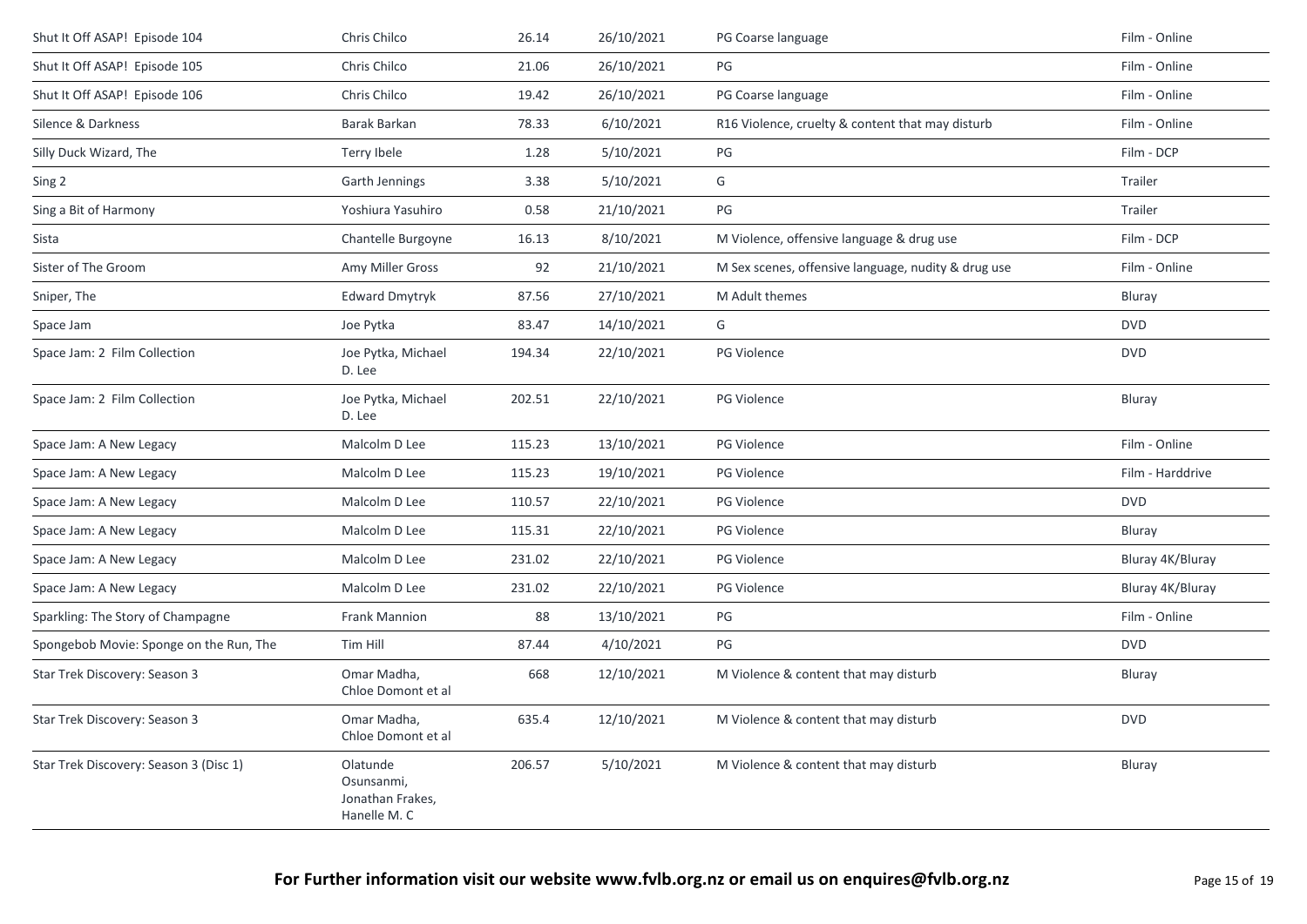| Shut It Off ASAP! Episode 104           | Chris Chilco                                               | 26.14  | 26/10/2021 | PG Coarse language                                  | Film - Online    |
|-----------------------------------------|------------------------------------------------------------|--------|------------|-----------------------------------------------------|------------------|
| Shut It Off ASAP! Episode 105           | Chris Chilco                                               | 21.06  | 26/10/2021 | PG                                                  | Film - Online    |
| Shut It Off ASAP! Episode 106           | Chris Chilco                                               | 19.42  | 26/10/2021 | PG Coarse language                                  | Film - Online    |
| Silence & Darkness                      | Barak Barkan                                               | 78.33  | 6/10/2021  | R16 Violence, cruelty & content that may disturb    | Film - Online    |
| Silly Duck Wizard, The                  | Terry Ibele                                                | 1.28   | 5/10/2021  | PG                                                  | Film - DCP       |
| Sing 2                                  | Garth Jennings                                             | 3.38   | 5/10/2021  | G                                                   | Trailer          |
| Sing a Bit of Harmony                   | Yoshiura Yasuhiro                                          | 0.58   | 21/10/2021 | PG                                                  | Trailer          |
| Sista                                   | Chantelle Burgoyne                                         | 16.13  | 8/10/2021  | M Violence, offensive language & drug use           | Film - DCP       |
| Sister of The Groom                     | Amy Miller Gross                                           | 92     | 21/10/2021 | M Sex scenes, offensive language, nudity & drug use | Film - Online    |
| Sniper, The                             | <b>Edward Dmytryk</b>                                      | 87.56  | 27/10/2021 | M Adult themes                                      | Bluray           |
| Space Jam                               | Joe Pytka                                                  | 83.47  | 14/10/2021 | G                                                   | <b>DVD</b>       |
| Space Jam: 2 Film Collection            | Joe Pytka, Michael<br>D. Lee                               | 194.34 | 22/10/2021 | PG Violence                                         | <b>DVD</b>       |
| Space Jam: 2 Film Collection            | Joe Pytka, Michael<br>D. Lee                               | 202.51 | 22/10/2021 | <b>PG Violence</b>                                  | Bluray           |
| Space Jam: A New Legacy                 | Malcolm D Lee                                              | 115.23 | 13/10/2021 | <b>PG Violence</b>                                  | Film - Online    |
| Space Jam: A New Legacy                 | Malcolm D Lee                                              | 115.23 | 19/10/2021 | PG Violence                                         | Film - Harddrive |
| Space Jam: A New Legacy                 | Malcolm D Lee                                              | 110.57 | 22/10/2021 | PG Violence                                         | <b>DVD</b>       |
| Space Jam: A New Legacy                 | Malcolm D Lee                                              | 115.31 | 22/10/2021 | PG Violence                                         | Bluray           |
| Space Jam: A New Legacy                 | Malcolm D Lee                                              | 231.02 | 22/10/2021 | <b>PG Violence</b>                                  | Bluray 4K/Bluray |
| Space Jam: A New Legacy                 | Malcolm D Lee                                              | 231.02 | 22/10/2021 | PG Violence                                         | Bluray 4K/Bluray |
| Sparkling: The Story of Champagne       | Frank Mannion                                              | 88     | 13/10/2021 | PG                                                  | Film - Online    |
| Spongebob Movie: Sponge on the Run, The | Tim Hill                                                   | 87.44  | 4/10/2021  | PG                                                  | <b>DVD</b>       |
| Star Trek Discovery: Season 3           | Omar Madha,<br>Chloe Domont et al                          | 668    | 12/10/2021 | M Violence & content that may disturb               | Bluray           |
| Star Trek Discovery: Season 3           | Omar Madha,<br>Chloe Domont et al                          | 635.4  | 12/10/2021 | M Violence & content that may disturb               | <b>DVD</b>       |
| Star Trek Discovery: Season 3 (Disc 1)  | Olatunde<br>Osunsanmi,<br>Jonathan Frakes,<br>Hanelle M. C | 206.57 | 5/10/2021  | M Violence & content that may disturb               | Bluray           |
|                                         |                                                            |        |            |                                                     |                  |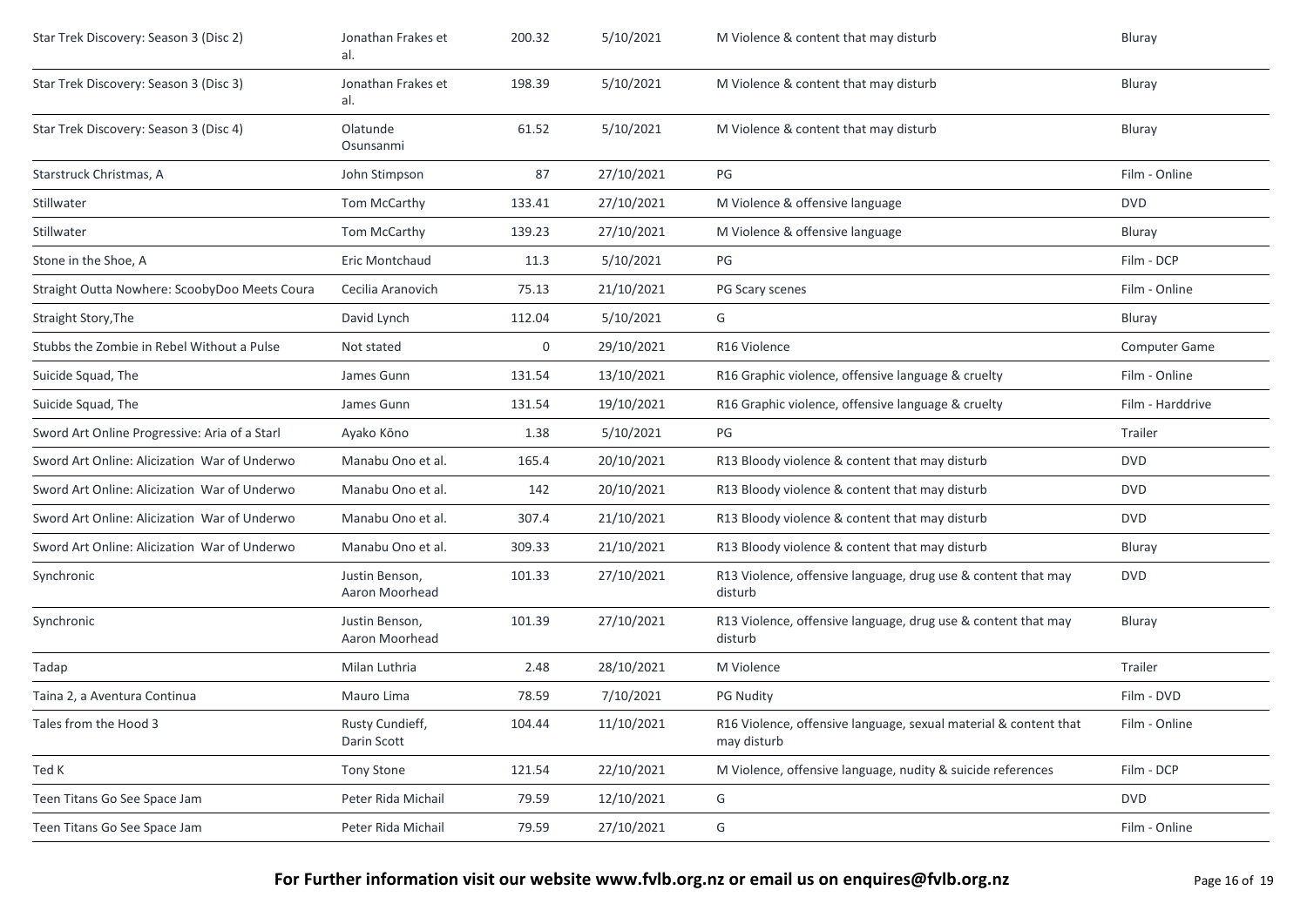| Star Trek Discovery: Season 3 (Disc 2)        | Jonathan Frakes et<br>al.        | 200.32 | 5/10/2021  | M Violence & content that may disturb                                           | Bluray           |
|-----------------------------------------------|----------------------------------|--------|------------|---------------------------------------------------------------------------------|------------------|
| Star Trek Discovery: Season 3 (Disc 3)        | Jonathan Frakes et<br>al.        | 198.39 | 5/10/2021  | M Violence & content that may disturb                                           | Bluray           |
| Star Trek Discovery: Season 3 (Disc 4)        | Olatunde<br>Osunsanmi            | 61.52  | 5/10/2021  | M Violence & content that may disturb                                           | Bluray           |
| Starstruck Christmas, A                       | John Stimpson                    | 87     | 27/10/2021 | PG                                                                              | Film - Online    |
| Stillwater                                    | Tom McCarthy                     | 133.41 | 27/10/2021 | M Violence & offensive language                                                 | <b>DVD</b>       |
| Stillwater                                    | Tom McCarthy                     | 139.23 | 27/10/2021 | M Violence & offensive language                                                 | Bluray           |
| Stone in the Shoe, A                          | Eric Montchaud                   | 11.3   | 5/10/2021  | PG                                                                              | Film - DCP       |
| Straight Outta Nowhere: ScoobyDoo Meets Coura | Cecilia Aranovich                | 75.13  | 21/10/2021 | PG Scary scenes                                                                 | Film - Online    |
| Straight Story, The                           | David Lynch                      | 112.04 | 5/10/2021  | G                                                                               | Bluray           |
| Stubbs the Zombie in Rebel Without a Pulse    | Not stated                       | 0      | 29/10/2021 | R <sub>16</sub> Violence                                                        | Computer Game    |
| Suicide Squad, The                            | James Gunn                       | 131.54 | 13/10/2021 | R16 Graphic violence, offensive language & cruelty                              | Film - Online    |
| Suicide Squad, The                            | James Gunn                       | 131.54 | 19/10/2021 | R16 Graphic violence, offensive language & cruelty                              | Film - Harddrive |
| Sword Art Online Progressive: Aria of a Starl | Ayako Kōno                       | 1.38   | 5/10/2021  | PG                                                                              | Trailer          |
| Sword Art Online: Alicization War of Underwo  | Manabu Ono et al.                | 165.4  | 20/10/2021 | R13 Bloody violence & content that may disturb                                  | <b>DVD</b>       |
| Sword Art Online: Alicization War of Underwo  | Manabu Ono et al.                | 142    | 20/10/2021 | R13 Bloody violence & content that may disturb                                  | <b>DVD</b>       |
| Sword Art Online: Alicization War of Underwo  | Manabu Ono et al.                | 307.4  | 21/10/2021 | R13 Bloody violence & content that may disturb                                  | <b>DVD</b>       |
| Sword Art Online: Alicization War of Underwo  | Manabu Ono et al.                | 309.33 | 21/10/2021 | R13 Bloody violence & content that may disturb                                  | Bluray           |
| Synchronic                                    | Justin Benson,<br>Aaron Moorhead | 101.33 | 27/10/2021 | R13 Violence, offensive language, drug use & content that may<br>disturb        | <b>DVD</b>       |
| Synchronic                                    | Justin Benson,<br>Aaron Moorhead | 101.39 | 27/10/2021 | R13 Violence, offensive language, drug use & content that may<br>disturb        | Bluray           |
| Tadap                                         | Milan Luthria                    | 2.48   | 28/10/2021 | M Violence                                                                      | Trailer          |
| Taina 2, a Aventura Continua                  | Mauro Lima                       | 78.59  | 7/10/2021  | <b>PG Nudity</b>                                                                | Film - DVD       |
| Tales from the Hood 3                         | Rusty Cundieff,<br>Darin Scott   | 104.44 | 11/10/2021 | R16 Violence, offensive language, sexual material & content that<br>may disturb | Film - Online    |
| Ted K                                         | Tony Stone                       | 121.54 | 22/10/2021 | M Violence, offensive language, nudity & suicide references                     | Film - DCP       |
| Teen Titans Go See Space Jam                  | Peter Rida Michail               | 79.59  | 12/10/2021 | G                                                                               | <b>DVD</b>       |
| Teen Titans Go See Space Jam                  | Peter Rida Michail               | 79.59  | 27/10/2021 | G                                                                               | Film - Online    |
|                                               |                                  |        |            |                                                                                 |                  |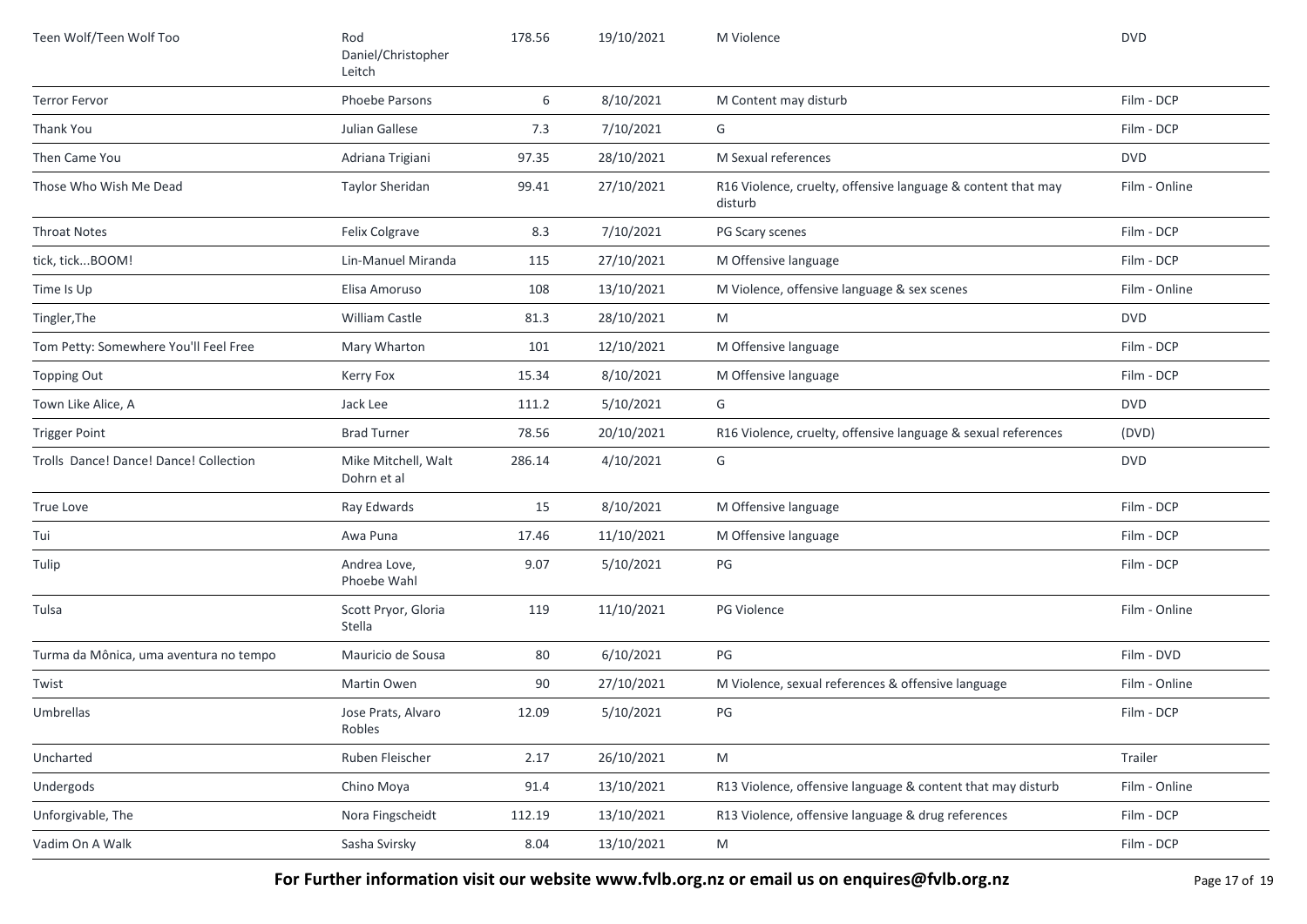| Teen Wolf/Teen Wolf Too                | Rod<br>Daniel/Christopher<br>Leitch | 178.56 | 19/10/2021 | M Violence                                                              | <b>DVD</b>    |
|----------------------------------------|-------------------------------------|--------|------------|-------------------------------------------------------------------------|---------------|
| <b>Terror Fervor</b>                   | Phoebe Parsons                      | 6      | 8/10/2021  | M Content may disturb                                                   | Film - DCP    |
| Thank You                              | Julian Gallese                      | 7.3    | 7/10/2021  | G                                                                       | Film - DCP    |
| Then Came You                          | Adriana Trigiani                    | 97.35  | 28/10/2021 | M Sexual references                                                     | <b>DVD</b>    |
| Those Who Wish Me Dead                 | Taylor Sheridan                     | 99.41  | 27/10/2021 | R16 Violence, cruelty, offensive language & content that may<br>disturb | Film - Online |
| <b>Throat Notes</b>                    | Felix Colgrave                      | 8.3    | 7/10/2021  | PG Scary scenes                                                         | Film - DCP    |
| tick, tickBOOM!                        | Lin-Manuel Miranda                  | 115    | 27/10/2021 | M Offensive language                                                    | Film - DCP    |
| Time Is Up                             | Elisa Amoruso                       | 108    | 13/10/2021 | M Violence, offensive language & sex scenes                             | Film - Online |
| Tingler, The                           | <b>William Castle</b>               | 81.3   | 28/10/2021 | M                                                                       | <b>DVD</b>    |
| Tom Petty: Somewhere You'll Feel Free  | Mary Wharton                        | 101    | 12/10/2021 | M Offensive language                                                    | Film - DCP    |
| Topping Out                            | Kerry Fox                           | 15.34  | 8/10/2021  | M Offensive language                                                    | Film - DCP    |
| Town Like Alice, A                     | Jack Lee                            | 111.2  | 5/10/2021  | G                                                                       | <b>DVD</b>    |
| <b>Trigger Point</b>                   | <b>Brad Turner</b>                  | 78.56  | 20/10/2021 | R16 Violence, cruelty, offensive language & sexual references           | (DVD)         |
| Trolls Dance! Dance! Dance! Collection | Mike Mitchell, Walt<br>Dohrn et al  | 286.14 | 4/10/2021  | G                                                                       | <b>DVD</b>    |
| True Love                              | Ray Edwards                         | 15     | 8/10/2021  | M Offensive language                                                    | Film - DCP    |
| Tui                                    | Awa Puna                            | 17.46  | 11/10/2021 | M Offensive language                                                    | Film - DCP    |
| Tulip                                  | Andrea Love,<br>Phoebe Wahl         | 9.07   | 5/10/2021  | PG                                                                      | Film - DCP    |
| Tulsa                                  | Scott Pryor, Gloria<br>Stella       | 119    | 11/10/2021 | PG Violence                                                             | Film - Online |
| Turma da Mônica, uma aventura no tempo | Mauricio de Sousa                   | 80     | 6/10/2021  | PG                                                                      | Film - DVD    |
| Twist                                  | Martin Owen                         | 90     | 27/10/2021 | M Violence, sexual references & offensive language                      | Film - Online |
| Umbrellas                              | Jose Prats, Alvaro<br>Robles        | 12.09  | 5/10/2021  | PG                                                                      | Film - DCP    |
| Uncharted                              | Ruben Fleischer                     | 2.17   | 26/10/2021 | M                                                                       | Trailer       |
| Undergods                              | Chino Moya                          | 91.4   | 13/10/2021 | R13 Violence, offensive language & content that may disturb             | Film - Online |
| Unforgivable, The                      | Nora Fingscheidt                    | 112.19 | 13/10/2021 | R13 Violence, offensive language & drug references                      | Film - DCP    |
| Vadim On A Walk                        | Sasha Svirsky                       | 8.04   | 13/10/2021 | M                                                                       | Film - DCP    |

**For Further information visit our website www.fvlb.org.nz or email us on enquires@fvlb.org.nz** Page 17 of 19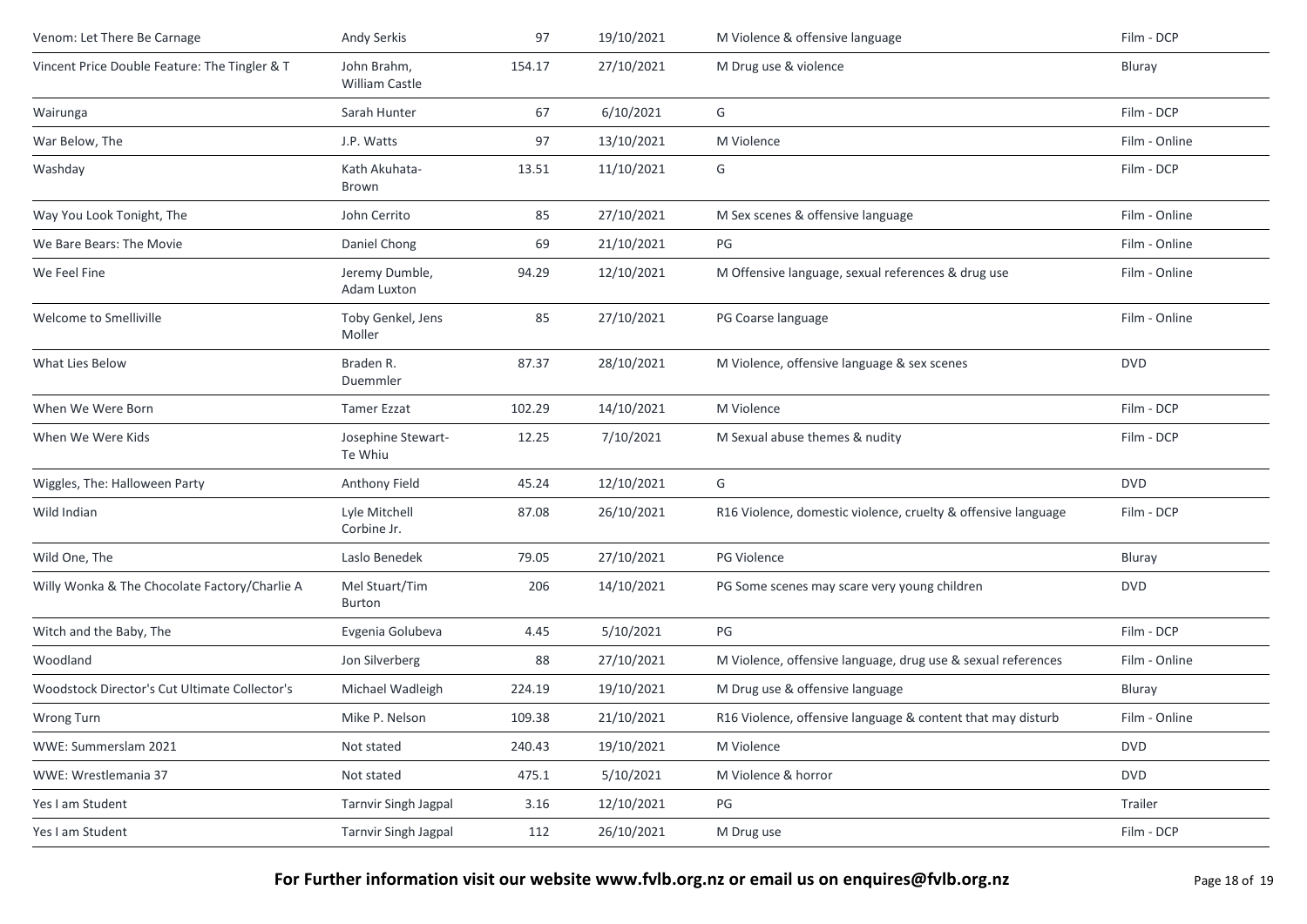| Venom: Let There Be Carnage                   | Andy Serkis                          | 97     | 19/10/2021 | M Violence & offensive language                               | Film - DCP    |
|-----------------------------------------------|--------------------------------------|--------|------------|---------------------------------------------------------------|---------------|
| Vincent Price Double Feature: The Tingler & T | John Brahm,<br><b>William Castle</b> | 154.17 | 27/10/2021 | M Drug use & violence                                         | Bluray        |
| Wairunga                                      | Sarah Hunter                         | 67     | 6/10/2021  | G                                                             | Film - DCP    |
| War Below, The                                | J.P. Watts                           | 97     | 13/10/2021 | M Violence                                                    | Film - Online |
| Washday                                       | Kath Akuhata-<br>Brown               | 13.51  | 11/10/2021 | G                                                             | Film - DCP    |
| Way You Look Tonight, The                     | John Cerrito                         | 85     | 27/10/2021 | M Sex scenes & offensive language                             | Film - Online |
| We Bare Bears: The Movie                      | Daniel Chong                         | 69     | 21/10/2021 | PG                                                            | Film - Online |
| We Feel Fine                                  | Jeremy Dumble,<br>Adam Luxton        | 94.29  | 12/10/2021 | M Offensive language, sexual references & drug use            | Film - Online |
| Welcome to Smelliville                        | Toby Genkel, Jens<br>Moller          | 85     | 27/10/2021 | PG Coarse language                                            | Film - Online |
| What Lies Below                               | Braden R.<br>Duemmler                | 87.37  | 28/10/2021 | M Violence, offensive language & sex scenes                   | <b>DVD</b>    |
| When We Were Born                             | <b>Tamer Ezzat</b>                   | 102.29 | 14/10/2021 | M Violence                                                    | Film - DCP    |
| When We Were Kids                             | Josephine Stewart-<br>Te Whiu        | 12.25  | 7/10/2021  | M Sexual abuse themes & nudity                                | Film - DCP    |
| Wiggles, The: Halloween Party                 | Anthony Field                        | 45.24  | 12/10/2021 | G                                                             | <b>DVD</b>    |
| Wild Indian                                   | Lyle Mitchell<br>Corbine Jr.         | 87.08  | 26/10/2021 | R16 Violence, domestic violence, cruelty & offensive language | Film - DCP    |
| Wild One, The                                 | Laslo Benedek                        | 79.05  | 27/10/2021 | <b>PG Violence</b>                                            | Bluray        |
| Willy Wonka & The Chocolate Factory/Charlie A | Mel Stuart/Tim<br><b>Burton</b>      | 206    | 14/10/2021 | PG Some scenes may scare very young children                  | <b>DVD</b>    |
| Witch and the Baby, The                       | Evgenia Golubeva                     | 4.45   | 5/10/2021  | PG                                                            | Film - DCP    |
| Woodland                                      | Jon Silverberg                       | 88     | 27/10/2021 | M Violence, offensive language, drug use & sexual references  | Film - Online |
| Woodstock Director's Cut Ultimate Collector's | Michael Wadleigh                     | 224.19 | 19/10/2021 | M Drug use & offensive language                               | Bluray        |
| Wrong Turn                                    | Mike P. Nelson                       | 109.38 | 21/10/2021 | R16 Violence, offensive language & content that may disturb   | Film - Online |
| WWE: Summerslam 2021                          | Not stated                           | 240.43 | 19/10/2021 | M Violence                                                    | <b>DVD</b>    |
| WWE: Wrestlemania 37                          | Not stated                           | 475.1  | 5/10/2021  | M Violence & horror                                           | <b>DVD</b>    |
| Yes I am Student                              | <b>Tarnvir Singh Jagpal</b>          | 3.16   | 12/10/2021 | PG                                                            | Trailer       |
| Yes I am Student                              | <b>Tarnvir Singh Jagpal</b>          | 112    | 26/10/2021 | M Drug use                                                    | Film - DCP    |
|                                               |                                      |        |            |                                                               |               |